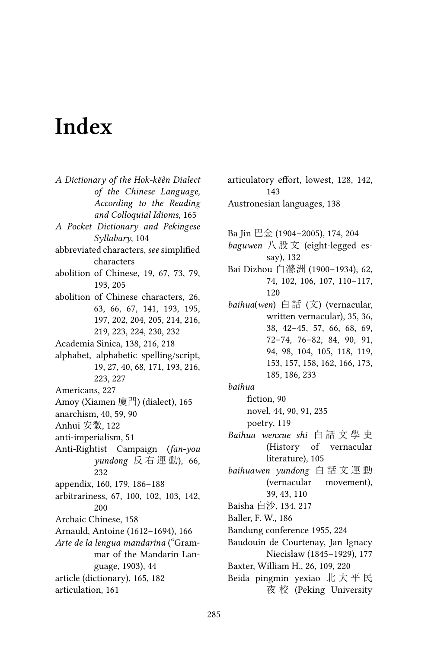## **Index**

*A Dictionary of the Hok-këèn Dialect of the Chinese Language, According to the Reading and Colloquial Idioms*, 165 *A Pocket Dictionary and Pekingese Syllabary*, 104 abbreviated characters, *see* simplified characters abolition of Chinese, 19, 67, 73, 79, 193, 205 abolition of Chinese characters, 26, 63, 66, 67, 141, 193, 195, 197, 202, 204, 205, 214, 216, 219, 223, 224, 230, 232 Academia Sinica, 138, 216, 218 alphabet, alphabetic spelling/script, 19, 27, 40, 68, 171, 193, 216, 223, 227 Americans, 227 Amoy (Xiamen 廈門) (dialect), 165 anarchism, 40, 59, 90 Anhui 安徽, 122 anti-imperialism, 51 Anti-Rightist Campaign (*fan-you yundong* 反 右 運 動), 66, 232 appendix, 160, 179, 186–188 arbitrariness, 67, 100, 102, 103, 142, 200 Archaic Chinese, 158 Arnauld, Antoine (1612–1694), 166 *Arte de la lengua mandarina* ("Grammar of the Mandarin Language, 1903), 44 article (dictionary), 165, 182 articulation, 161

143 Austronesian languages, 138 Ba Jin 巴金 (1904–2005), 174, 204 *baguwen* 八 股 文 (eight-legged essay), 132 Bai Dizhou 白滌洲 (1900–1934), 62, 74, 102, 106, 107, 110–117, 120 *baihua*(*wen*) 白 話 (文) (vernacular, written vernacular), 35, 36, 38, 42–45, 57, 66, 68, 69, 72–74, 76–82, 84, 90, 91, 94, 98, 104, 105, 118, 119, 153, 157, 158, 162, 166, 173, 185, 186, 233 *baihua* fiction, 90 novel, 44, 90, 91, 235 poetry, 119 *Baihua wenxue shi* 白 話 文 學 史 (History of vernacular literature), 105 *baihuawen yundong* 白 話 文 運 動 (vernacular movement), 39, 43, 110 Baisha 白沙, 134, 217 Baller, F. W., 186 Bandung conference 1955, 224 Baudouin de Courtenay, Jan Ignacy Niecisław (1845–1929), 177 Baxter, William H., 26, 109, 220 Beida pingmin yexiao 北 大 平 民 夜 校 (Peking University

articulatory effort, lowest, 128, 142,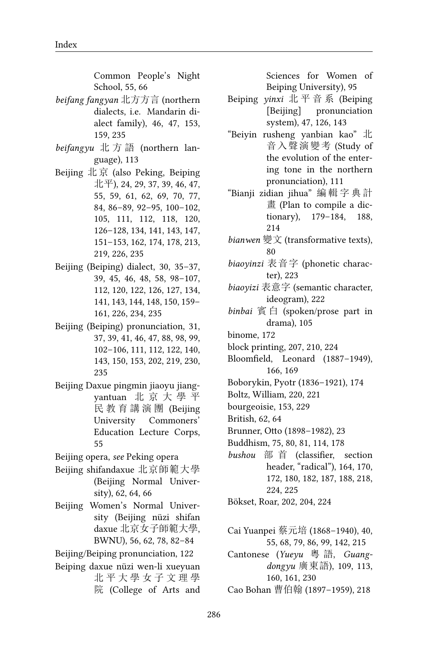Common People's Night School, 55, 66

- *beifang fangyan* 北方方言 (northern dialects, i.e. Mandarin dialect family), 46, 47, 153, 159, 235
- *beifangyu* 北 方 語 (northern language), 113
- Beijing 北京 (also Peking, Beiping 北平), 24, 29, 37, 39, 46, 47, 55, 59, 61, 62, 69, 70, 77, 84, 86–89, 92–95, 100–102, 105, 111, 112, 118, 120, 126–128, 134, 141, 143, 147, 151–153, 162, 174, 178, 213, 219, 226, 235
- Beijing (Beiping) dialect, 30, 35–37, 39, 45, 46, 48, 58, 98–107, 112, 120, 122, 126, 127, 134, 141, 143, 144, 148, 150, 159– 161, 226, 234, 235
- Beijing (Beiping) pronunciation, 31, 37, 39, 41, 46, 47, 88, 98, 99, 102–106, 111, 112, 122, 140, 143, 150, 153, 202, 219, 230, 235
- Beijing Daxue pingmin jiaoyu jiangyantuan 北 京 大 學 平 民 教 育 講 演 團 (Beijing University Commoners' Education Lecture Corps, 55
- Beijing opera, *see* Peking opera
- Beijing shifandaxue 北京師範大學 (Beijing Normal University), 62, 64, 66
- Beijing Women's Normal University (Beijing nüzi shifan daxue 北京女子師範大學, BWNU), 56, 62, 78, 82–84

Beijing/Beiping pronunciation, 122

Beiping daxue nüzi wen-li xueyuan 北 平 大 學 女 子 文 理 學 院 (College of Arts and

Sciences for Women of Beiping University), 95

- Beiping *yinxi* 北 平 音 系 (Beiping [Beijing] pronunciation system), 47, 126, 143
- "Beiyin rusheng yanbian kao" 北 音入聲演變考 (Study of the evolution of the entering tone in the northern pronunciation), 111
- "Bianji zidian jihua" 編 輯 字 典 計 畫 (Plan to compile a dictionary), 179–184, 188, 214
- *bianwen* 變文 (transformative texts), 80
- *biaoyinzi* 表音字 (phonetic character), 223
- *biaoyizi* 表意字 (semantic character, ideogram), 222
- *binbai* 賓 白 (spoken/prose part in drama), 105
- binome, 172
- block printing, 207, 210, 224
- Bloomfield, Leonard (1887–1949), 166, 169
- Boborykin, Pyotr (1836–1921), 174
- Boltz, William, 220, 221
- bourgeoisie, 153, 229
- British, 62, 64
- Brunner, Otto (1898–1982), 23
- Buddhism, 75, 80, 81, 114, 178
- *bushou* 部 首 (classifier, section header, "radical"), 164, 170, 172, 180, 182, 187, 188, 218, 224, 225

Bökset, Roar, 202, 204, 224

- Cai Yuanpei 蔡元培 (1868–1940), 40, 55, 68, 79, 86, 99, 142, 215
- Cantonese (*Yueyu* 粵 語, *Guangdongyu* 廣東語), 109, 113, 160, 161, 230

Cao Bohan 曹伯翰 (1897–1959), 218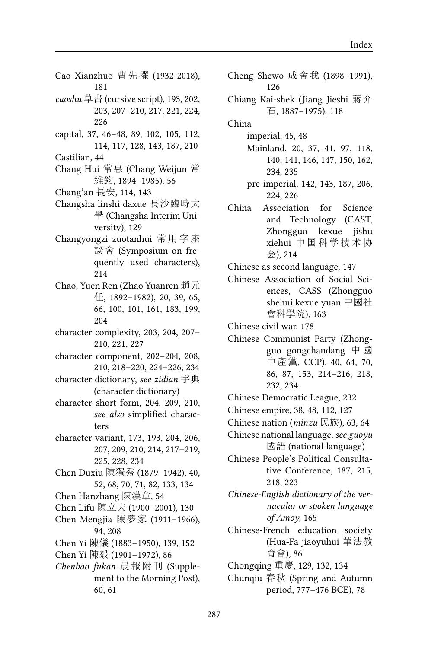- Cao Xianzhuo 曹先擢 (1932-2018), 181
- *caoshu* 草書 (cursive script), 193, 202, 203, 207–210, 217, 221, 224, 226
- capital, 37, 46–48, 89, 102, 105, 112, 114, 117, 128, 143, 187, 210
- Castilian, 44
- Chang Hui 常惠 (Chang Weijun 常 維鈞, 1894–1985), 56
- Chang'an 長安, 114, 143
- Changsha linshi daxue 長沙臨時大 學 (Changsha Interim University), 129
- Changyongzi zuotanhui 常用字座 談會 (Symposium on frequently used characters), 214
- Chao, Yuen Ren (Zhao Yuanren 趙元 任, 1892–1982), 20, 39, 65, 66, 100, 101, 161, 183, 199, 204
- character complexity, 203, 204, 207– 210, 221, 227
- character component, 202–204, 208, 210, 218–220, 224–226, 234
- character dictionary, *see zidian* 字典 (character dictionary)
- character short form, 204, 209, 210, *see also* simplified characters
- character variant, 173, 193, 204, 206, 207, 209, 210, 214, 217–219, 225, 228, 234
- Chen Duxiu 陳獨秀 (1879–1942), 40, 52, 68, 70, 71, 82, 133, 134
- Chen Hanzhang 陳漢章, 54
- Chen Lifu 陳立夫 (1900–2001), 130
- Chen Mengjia 陳夢家 (1911–1966), 94, 208
- Chen Yi 陳儀 (1883–1950), 139, 152
- Chen Yi 陳毅 (1901–1972), 86
- *Chenbao fukan* 晨報附刊 (Supplement to the Morning Post), 60, 61
- Cheng Shewo 成舍我 (1898–1991), 126
- Chiang Kai-shek (Jiang Jieshi 蔣介 石, 1887–1975), 118
- China
	- imperial, 45, 48
	- Mainland, 20, 37, 41, 97, 118, 140, 141, 146, 147, 150, 162, 234, 235
	- pre-imperial, 142, 143, 187, 206, 224, 226
- China Association for Science and Technology (CAST, Zhongguo kexue jishu xiehui 中国科学技术协 会), 214
- Chinese as second language, 147
- Chinese Association of Social Sciences, CASS (Zhongguo shehui kexue yuan 中國社 會科學院), 163

Chinese civil war, 178

- Chinese Communist Party (Zhongguo gongchandang 中 國 中產黨, CCP), 40, 64, 70, 86, 87, 153, 214–216, 218, 232, 234
- Chinese Democratic League, 232
- Chinese empire, 38, 48, 112, 127
- Chinese nation (*minzu* 民族), 63, 64
- Chinese national language, *see guoyu* 國語 (national language)
- Chinese People's Political Consultative Conference, 187, 215, 218, 223
- *Chinese-English dictionary of the vernacular or spoken language of Amoy*, 165
- Chinese-French education society (Hua-Fa jiaoyuhui 華法教 育會), 86
- Chongqing 重慶, 129, 132, 134
- Chunqiu 春秋 (Spring and Autumn period, 777–476 BCE), 78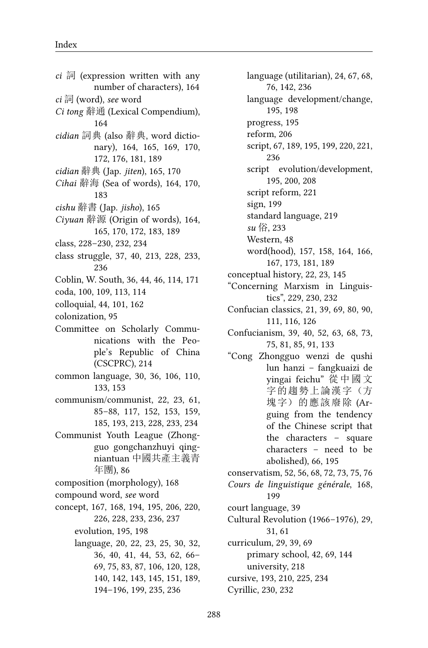- *ci* 詞 (expression written with any number of characters), 164 *ci* 詞 (word), *see* word *Ci tong* 辭通 (Lexical Compendium), 164 *cidian* 詞典 (also 辭典, word dictionary), 164, 165, 169, 170, 172, 176, 181, 189 *cidian* 辭典 (Jap. *jiten*), 165, 170 *Cihai* 辭海 (Sea of words), 164, 170, 183 *cishu* 辭書 (Jap. *jisho*), 165 *Ciyuan* 辭源 (Origin of words), 164, 165, 170, 172, 183, 189 class, 228–230, 232, 234 class struggle, 37, 40, 213, 228, 233, 236 Coblin, W. South, 36, 44, 46, 114, 171 coda, 100, 109, 113, 114 colloquial, 44, 101, 162 colonization, 95 Committee on Scholarly Communications with the People's Republic of China (CSCPRC), 214 common language, 30, 36, 106, 110, 133, 153 communism/communist, 22, 23, 61, 85–88, 117, 152, 153, 159, 185, 193, 213, 228, 233, 234 Communist Youth League (Zhongguo gongchanzhuyi qingniantuan 中國共產主義青 年團), 86
- composition (morphology), 168
- compound word, *see* word
- concept, 167, 168, 194, 195, 206, 220, 226, 228, 233, 236, 237
	- evolution, 195, 198
	- language, 20, 22, 23, 25, 30, 32, 36, 40, 41, 44, 53, 62, 66– 69, 75, 83, 87, 106, 120, 128, 140, 142, 143, 145, 151, 189, 194–196, 199, 235, 236

language (utilitarian), 24, 67, 68, 76, 142, 236 language development/change, 195, 198 progress, 195 reform, 206 script, 67, 189, 195, 199, 220, 221, 236 script evolution/development, 195, 200, 208 script reform, 221 sign, 199 standard language, 219 *su* 俗, 233 Western, 48 word(hood), 157, 158, 164, 166, 167, 173, 181, 189 conceptual history, 22, 23, 145 "Concerning Marxism in Linguistics", 229, 230, 232 Confucian classics, 21, 39, 69, 80, 90, 111, 116, 126 Confucianism, 39, 40, 52, 63, 68, 73, 75, 81, 85, 91, 133 "Cong Zhongguo wenzi de qushi lun hanzi – fangkuaizi de yingai feichu" 從 中 國 文 字的趨勢上論漢字(方 塊字)的應該廢除 (Arguing from the tendency of the Chinese script that the characters – square characters – need to be abolished), 66, 195 conservatism, 52, 56, 68, 72, 73, 75, 76 *Cours de linguistique générale*, 168,

199 court language, 39

Cultural Revolution (1966–1976), 29, 31, 61

curriculum, 29, 39, 69

primary school, 42, 69, 144

university, 218

- cursive, 193, 210, 225, 234
- Cyrillic, 230, 232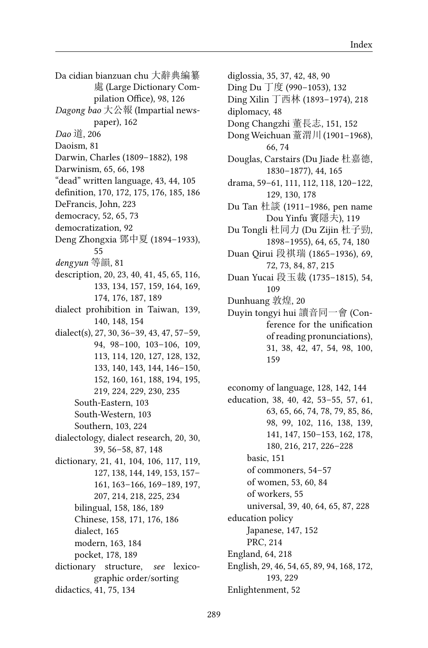Da cidian bianzuan chu 大辭典編纂 處 (Large Dictionary Compilation Office), 98, 126 *Dagong bao* 大公報 (Impartial newspaper), 162 *Dao* 道, 206 Daoism, 81 Darwin, Charles (1809–1882), 198 Darwinism, 65, 66, 198 "dead" written language, 43, 44, 105 definition, 170, 172, 175, 176, 185, 186 DeFrancis, John, 223 democracy, 52, 65, 73 democratization, 92 Deng Zhongxia 鄧中夏 (1894–1933), 55 *dengyun* 等韻, 81 description, 20, 23, 40, 41, 45, 65, 116, 133, 134, 157, 159, 164, 169, 174, 176, 187, 189 dialect prohibition in Taiwan, 139, 140, 148, 154 dialect(s), 27, 30, 36–39, 43, 47, 57–59, 94, 98–100, 103–106, 109, 113, 114, 120, 127, 128, 132, 133, 140, 143, 144, 146–150, 152, 160, 161, 188, 194, 195, 219, 224, 229, 230, 235 South-Eastern, 103 South-Western, 103 Southern, 103, 224 dialectology, dialect research, 20, 30, 39, 56–58, 87, 148 dictionary, 21, 41, 104, 106, 117, 119, 127, 138, 144, 149, 153, 157– 161, 163–166, 169–189, 197, 207, 214, 218, 225, 234 bilingual, 158, 186, 189 Chinese, 158, 171, 176, 186 dialect, 165 modern, 163, 184 pocket, 178, 189 dictionary structure, *see* lexicographic order/sorting didactics, 41, 75, 134

diglossia, 35, 37, 42, 48, 90 Ding Du 丁度 (990–1053), 132 Ding Xilin 丁西林 (1893–1974), 218 diplomacy, 48 Dong Changzhi 董長志, 151, 152 Dong Weichuan 蕫渭川 (1901–1968), 66, 74 Douglas, Carstairs (Du Jiade 杜嘉德, 1830–1877), 44, 165 drama, 59–61, 111, 112, 118, 120–122, 129, 130, 178 Du Tan 杜談 (1911–1986, pen name Dou Yinfu 竇隱夫), 119 Du Tongli 杜同力 (Du Zijin 杜子勁, 1898–1955), 64, 65, 74, 180 Duan Qirui 段祺瑞 (1865–1936), 69, 72, 73, 84, 87, 215 Duan Yucai 段玉裁 (1735–1815), 54, 109 Dunhuang 敦煌, 20 Duyin tongyi hui 讀音同一會 (Conference for the unification of reading pronunciations), 31, 38, 42, 47, 54, 98, 100, 159

economy of language, 128, 142, 144 education, 38, 40, 42, 53–55, 57, 61, 63, 65, 66, 74, 78, 79, 85, 86, 98, 99, 102, 116, 138, 139, 141, 147, 150–153, 162, 178, 180, 216, 217, 226–228 basic, 151 of commoners, 54–57 of women, 53, 60, 84 of workers, 55 universal, 39, 40, 64, 65, 87, 228 education policy Japanese, 147, 152 PRC, 214 England, 64, 218 English, 29, 46, 54, 65, 89, 94, 168, 172, 193, 229 Enlightenment, 52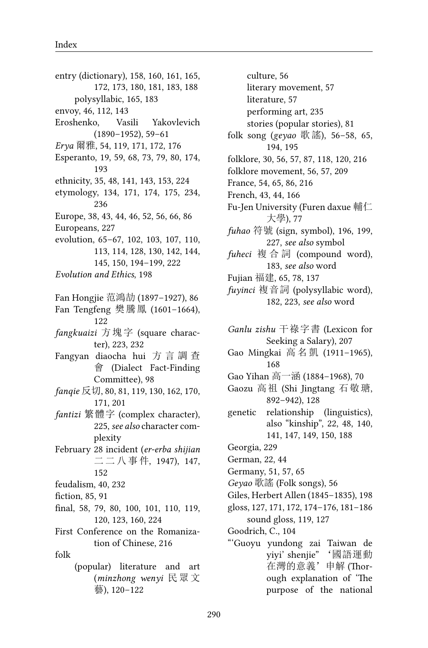entry (dictionary), 158, 160, 161, 165, 172, 173, 180, 181, 183, 188 polysyllabic, 165, 183 envoy, 46, 112, 143 Eroshenko, Vasili Yakovlevich (1890–1952), 59–61 *Erya* 爾雅, 54, 119, 171, 172, 176 Esperanto, 19, 59, 68, 73, 79, 80, 174, 193 ethnicity, 35, 48, 141, 143, 153, 224 etymology, 134, 171, 174, 175, 234, 236 Europe, 38, 43, 44, 46, 52, 56, 66, 86 Europeans, 227 evolution, 65–67, 102, 103, 107, 110, 113, 114, 128, 130, 142, 144, 145, 150, 194–199, 222 *Evolution and Ethics*, 198 Fan Hongjie 范鴻劼 (1897–1927), 86 Fan Tengfeng 樊騰鳳 (1601–1664), 122 *fangkuaizi* 方塊字 (square character), 223, 232 Fangyan diaocha hui 方 言 調 查 會 (Dialect Fact-Finding Committee), 98 *fanqie* 反切, 80, 81, 119, 130, 162, 170, 171, 201 *fantizi* 繁體字 (complex character), 225, *see also* character complexity February 28 incident (*er-erba shijian* 二 二 八 事 件, 1947), 147, 152 feudalism, 40, 232 fiction, 85, 91 final, 58, 79, 80, 100, 101, 110, 119, 120, 123, 160, 224 First Conference on the Romanization of Chinese, 216 folk (popular) literature and art (*minzhong wenyi* 民眾 文 藝), 120–122

culture, 56 literary movement, 57 literature, 57 performing art, 235 stories (popular stories), 81 folk song (*geyao* 歌謠), 56–58, 65, 194, 195 folklore, 30, 56, 57, 87, 118, 120, 216 folklore movement, 56, 57, 209 France, 54, 65, 86, 216 French, 43, 44, 166 Fu-Jen University (Furen daxue 輔仁 大學), 77 *fuhao* 符號 (sign, symbol), 196, 199, 227, *see also* symbol *fuheci* 複 合 詞 (compound word), 183, *see also* word Fujian 福建, 65, 78, 137 *fuyinci* 複音詞 (polysyllabic word), 182, 223, *see also* word *Ganlu zishu* 干祿字書 (Lexicon for Seeking a Salary), 207 Gao Mingkai 高 名 凱 (1911–1965), 168 Gao Yihan 高一涵 (1884–1968), 70 Gaozu 高祖 (Shi Jingtang 石敬瑭, 892–942), 128 genetic relationship (linguistics), also "kinship", 22, 48, 140, 141, 147, 149, 150, 188 Georgia, 229 German, 22, 44 Germany, 51, 57, 65 *Geyao* 歌謠 (Folk songs), 56 Giles, Herbert Allen (1845–1835), 198 gloss, 127, 171, 172, 174–176, 181–186 sound gloss, 119, 127 Goodrich, C., 104 "'Guoyu yundong zai Taiwan de yiyi' shenjie" '國語運動 在灣的意義'申解 (Thorough explanation of 'The

purpose of the national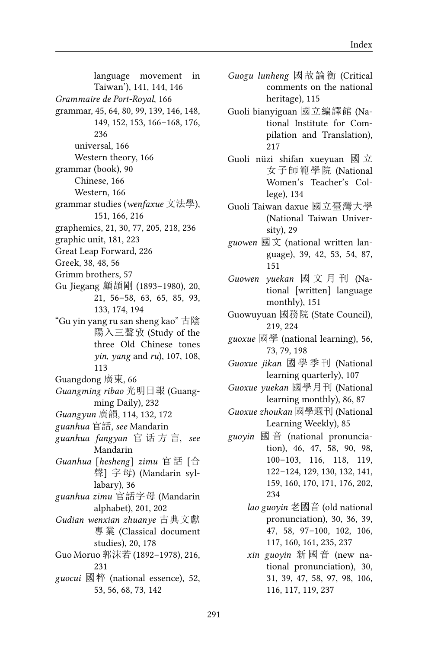language movement in Taiwan'), 141, 144, 146 *Grammaire de Port-Royal*, 166 grammar, 45, 64, 80, 99, 139, 146, 148, 149, 152, 153, 166–168, 176, 236 universal, 166 Western theory, 166 grammar (book), 90 Chinese, 166 Western, 166 grammar studies (*wenfaxue* 文法學), 151, 166, 216 graphemics, 21, 30, 77, 205, 218, 236 graphic unit, 181, 223 Great Leap Forward, 226 Greek, 38, 48, 56 Grimm brothers, 57 Gu Jiegang 顧頡剛 (1893–1980), 20, 21, 56–58, 63, 65, 85, 93, 133, 174, 194 "Gu yin yang ru san sheng kao" 古陰 陽入三聲攷 (Study of the three Old Chinese tones *yin*, *yang* and *ru*), 107, 108, 113 Guangdong 廣東, 66 *Guangming ribao* 光明日報 (Guangming Daily), 232 *Guangyun* 廣韻, 114, 132, 172 *guanhua* 官話, *see* Mandarin *guanhua fangyan* 官 话 方 言, *see* Mandarin *Guanhua* [*hesheng*] *zimu* 官話 [合 聲] 字母) (Mandarin syllabary), 36 *guanhua zimu* 官話字母 (Mandarin alphabet), 201, 202 *Gudian wenxian zhuanye* 古典文獻

- 專業 (Classical document studies), 20, 178
- Guo Moruo 郭沫若 (1892–1978), 216, 231
- *guocui* 國粹 (national essence), 52, 53, 56, 68, 73, 142

*Guogu lunheng* 國故論衡 (Critical comments on the national heritage), 115

- Guoli bianyiguan 國立編譯館 (National Institute for Compilation and Translation), 217
- Guoli nüzi shifan xueyuan 國 立 女子師範學院 (National Women's Teacher's College), 134
- Guoli Taiwan daxue 國立臺灣大學 (National Taiwan University), 29
- *guowen* 國文 (national written language), 39, 42, 53, 54, 87, 151
- *Guowen yuekan* 國 文 月 刊 (National [written] language monthly), 151
- Guowuyuan 國務院 (State Council), 219, 224
- *guoxue* 國學 (national learning), 56, 73, 79, 198
- *Guoxue jikan* 國 學 季 刊 (National learning quarterly), 107
- *Guoxue yuekan* 國學月刊 (National learning monthly), 86, 87
- *Guoxue zhoukan* 國學週刊 (National Learning Weekly), 85
- *guoyin* 國 音 (national pronunciation), 46, 47, 58, 90, 98, 100–103, 116, 118, 119, 122–124, 129, 130, 132, 141, 159, 160, 170, 171, 176, 202, 234
	- *lao guoyin* 老國音 (old national pronunciation), 30, 36, 39, 47, 58, 97–100, 102, 106, 117, 160, 161, 235, 237
	- *xin guoyin* 新 國 音 (new national pronunciation), 30, 31, 39, 47, 58, 97, 98, 106, 116, 117, 119, 237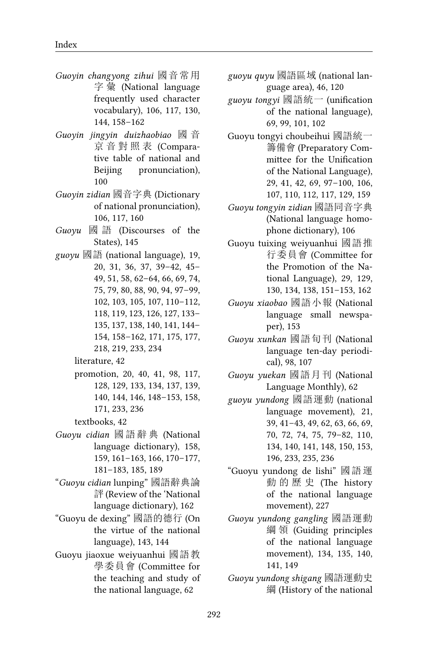- *Guoyin changyong zihui* 國音常用 字 彙 (National language frequently used character vocabulary), 106, 117, 130, 144, 158–162
- *Guoyin jingyin duizhaobiao* 國 音 京 音 對 照 表 (Comparative table of national and Beijing pronunciation), 100
- *Guoyin zidian* 國音字典 (Dictionary of national pronunciation), 106, 117, 160
- *Guoyu* 國 語 (Discourses of the States), 145
- *guoyu* 國語 (national language), 19, 20, 31, 36, 37, 39–42, 45– 49, 51, 58, 62–64, 66, 69, 74, 75, 79, 80, 88, 90, 94, 97–99, 102, 103, 105, 107, 110–112, 118, 119, 123, 126, 127, 133– 135, 137, 138, 140, 141, 144– 154, 158–162, 171, 175, 177, 218, 219, 233, 234
	- literature, 42
	- promotion, 20, 40, 41, 98, 117, 128, 129, 133, 134, 137, 139, 140, 144, 146, 148–153, 158, 171, 233, 236
	- textbooks, 42
- *Guoyu cidian* 國 語 辭 典 (National language dictionary), 158, 159, 161–163, 166, 170–177, 181–183, 185, 189
- "*Guoyu cidian* lunping" 國語辭典論 評 (Review of the 'National language dictionary), 162
- "Guoyu de dexing" 國語的德行 (On the virtue of the national language), 143, 144
- Guoyu jiaoxue weiyuanhui 國語教 學委員會 (Committee for the teaching and study of the national language, 62
- *guoyu quyu* 國語區域 (national language area), 46, 120
- *guoyu tongyi* 國語統一 (unification of the national language), 69, 99, 101, 102
- Guoyu tongyi choubeihui 國語統一 籌備會 (Preparatory Committee for the Unification of the National Language), 29, 41, 42, 69, 97–100, 106, 107, 110, 112, 117, 129, 159
- *Guoyu tongyin zidian* 國語同音字典 (National language homophone dictionary), 106
- Guoyu tuixing weiyuanhui 國語推 行委員會 (Committee for the Promotion of the National Language), 29, 129, 130, 134, 138, 151–153, 162
- *Guoyu xiaobao* 國語小報 (National language small newspaper), 153
- *Guoyu xunkan* 國語旬刊 (National language ten-day periodical), 98, 107
- *Guoyu yuekan* 國語月刊 (National Language Monthly), 62
- *guoyu yundong* 國語運動 (national language movement), 21, 39, 41–43, 49, 62, 63, 66, 69, 70, 72, 74, 75, 79–82, 110, 134, 140, 141, 148, 150, 153, 196, 233, 235, 236
- "Guoyu yundong de lishi" 國語運 動 的 歷 史 (The history of the national language movement), 227
- *Guoyu yundong gangling* 國語運動 綱 領 (Guiding principles of the national language movement), 134, 135, 140, 141, 149
- *Guoyu yundong shigang* 國語運動史 綱 (History of the national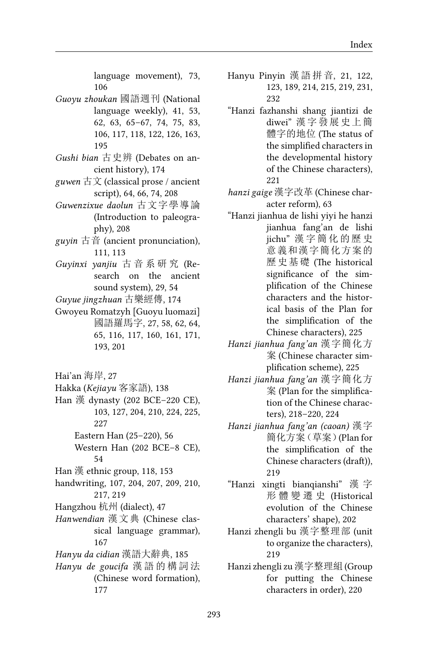language movement), 73, 106

- *Guoyu zhoukan* 國語週刊 (National language weekly), 41, 53, 62, 63, 65–67, 74, 75, 83, 106, 117, 118, 122, 126, 163, 195
- *Gushi bian* 古史辨 (Debates on ancient history), 174
- *guwen* 古文 (classical prose / ancient script), 64, 66, 74, 208
- *Guwenzixue daolun* 古文字學導論 (Introduction to paleography), 208
- *guyin* 古音 (ancient pronunciation), 111, 113
- *Guyinxi yanjiu* 古 音 系 研 究 (Research on the ancient sound system), 29, 54
- *Guyue jingzhuan* 古樂經傳, 174
- Gwoyeu Romatzyh [Guoyu luomazi] 國語羅馬字, 27, 58, 62, 64, 65, 116, 117, 160, 161, 171, 193, 201
- Hai'an 海岸, 27
- Hakka (*Kejiayu* 客家語), 138
- Han 漢 dynasty (202 BCE–220 CE), 103, 127, 204, 210, 224, 225, 227
	- Eastern Han (25–220), 56
	- Western Han (202 BCE–8 CE), 54
- Han 漢 ethnic group, 118, 153
- handwriting, 107, 204, 207, 209, 210, 217, 219
- Hangzhou 杭州 (dialect), 47
- *Hanwendian* 漢文典 (Chinese classical language grammar), 167
- *Hanyu da cidian* 漢語大辭典, 185
- *Hanyu de goucifa* 漢 語 的 構 詞 法 (Chinese word formation), 177
- Hanyu Pinyin 漢 語 拼 音, 21, 122, 123, 189, 214, 215, 219, 231, 232
- "Hanzi fazhanshi shang jiantizi de diwei" 漢字發展史上簡 體字的地位 (The status of the simplified characters in the developmental history of the Chinese characters), 221
- *hanzi gaige* 漢字改革 (Chinese character reform), 63
- "Hanzi jianhua de lishi yiyi he hanzi jianhua fang'an de lishi jichu" 漢 字 簡 化 的 歷 史 意義和漢字簡化方案的 歷史基礎 (The historical significance of the simplification of the Chinese characters and the historical basis of the Plan for the simplification of the Chinese characters), 225
- *Hanzi jianhua fang'an* 漢字簡化方 案 (Chinese character simplification scheme), 225
- *Hanzi jianhua fang'an* 漢字簡化方 案 (Plan for the simplification of the Chinese characters), 218–220, 224
- *Hanzi jianhua fang'an (caoan)* 漢字 簡化方案(草案)(Plan for the simplification of the Chinese characters (draft)), 219
- "Hanzi xingti bianqianshi" 漢 字 形 體 變 遷 史 (Historical evolution of the Chinese characters' shape), 202
- Hanzi zhengli bu 漢字整理部 (unit to organize the characters), 219
- Hanzi zhengli zu 漢字整理組 (Group for putting the Chinese characters in order), 220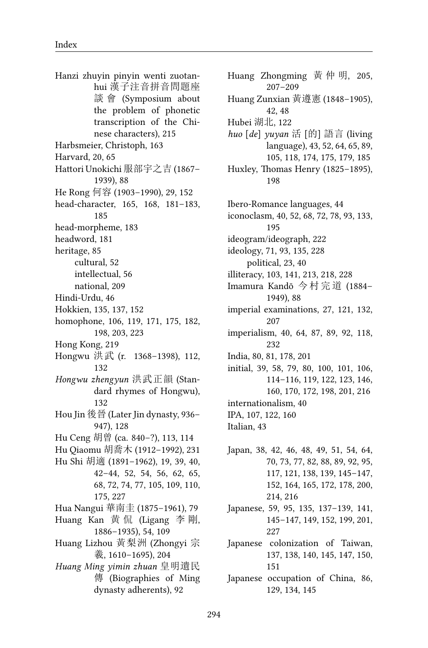Hanzi zhuyin pinyin wenti zuotanhui 漢子注音拼音問題座 談 會 (Symposium about the problem of phonetic transcription of the Chinese characters), 215 Harbsmeier, Christoph, 163 Harvard, 20, 65 Hattori Unokichi 服部宇之吉 (1867– 1939), 88 He Rong 何容 (1903–1990), 29, 152 head-character, 165, 168, 181–183, 185 head-morpheme, 183 headword, 181 heritage, 85 cultural, 52 intellectual, 56 national, 209 Hindi-Urdu, 46 Hokkien, 135, 137, 152 homophone, 106, 119, 171, 175, 182, 198, 203, 223 Hong Kong, 219 Hongwu 洪武 (r. 1368–1398), 112, 132 *Hongwu zhengyun* 洪武正韻 (Standard rhymes of Hongwu), 132 Hou Jin 後晉 (Later Jin dynasty, 936– 947), 128 Hu Ceng 胡曾 (ca. 840–?), 113, 114 Hu Qiaomu 胡喬木 (1912–1992), 231 Hu Shi 胡適 (1891–1962), 19, 39, 40, 42–44, 52, 54, 56, 62, 65, 68, 72, 74, 77, 105, 109, 110, 175, 227 Hua Nangui 華南圭 (1875–1961), 79 Huang Kan 黄 侃 (Ligang 李 剛, 1886–1935), 54, 109 Huang Lizhou 黃梨洲 (Zhongyi 宗 羲, 1610–1695), 204 *Huang Ming yimin zhuan* 皇明遺民 傳 (Biographies of Ming dynasty adherents), 92

Huang Zhongming 黃 仲 明, 205, 207–209 Huang Zunxian 黃遵憲 (1848–1905), 42, 48 Hubei 湖北, 122 *huo* [*de*] *yuyan* 活 [的] 語言 (living language), 43, 52, 64, 65, 89, 105, 118, 174, 175, 179, 185 Huxley, Thomas Henry (1825–1895), 198 Ibero-Romance languages, 44 iconoclasm, 40, 52, 68, 72, 78, 93, 133, 195 ideogram/ideograph, 222 ideology, 71, 93, 135, 228 political, 23, 40 illiteracy, 103, 141, 213, 218, 228 Imamura Kandō 今 村 完 道 (1884– 1949), 88 imperial examinations, 27, 121, 132, 207 imperialism, 40, 64, 87, 89, 92, 118, 232 India, 80, 81, 178, 201 initial, 39, 58, 79, 80, 100, 101, 106, 114–116, 119, 122, 123, 146, 160, 170, 172, 198, 201, 216 internationalism, 40 IPA, 107, 122, 160 Italian, 43 Japan, 38, 42, 46, 48, 49, 51, 54, 64, 70, 73, 77, 82, 88, 89, 92, 95, 117, 121, 138, 139, 145–147, 152, 164, 165, 172, 178, 200, 214, 216 Japanese, 59, 95, 135, 137–139, 141, 145–147, 149, 152, 199, 201, 227 Japanese colonization of Taiwan, 137, 138, 140, 145, 147, 150, 151 Japanese occupation of China, 86, 129, 134, 145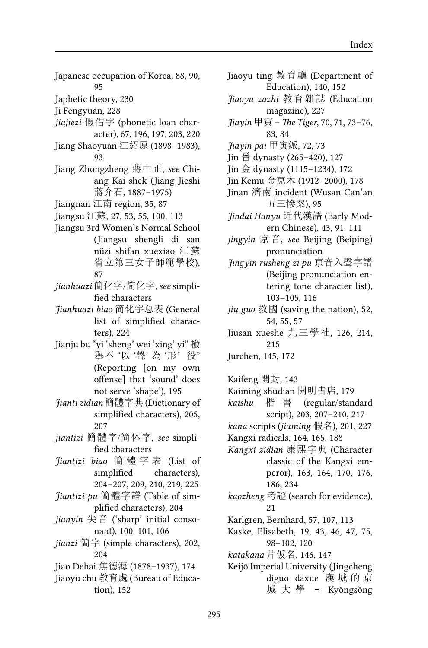- Japanese occupation of Korea, 88, 90, 95
- Japhetic theory, 230
- Ji Fengyuan, 228
- *jiajiezi* 假借字 (phonetic loan character), 67, 196, 197, 203, 220
- Jiang Shaoyuan 江紹原 (1898–1983), 93
- Jiang Zhongzheng 蔣中正, *see* Chiang Kai-shek (Jiang Jieshi 蔣介石, 1887–1975)
- Jiangnan 江南 region, 35, 87
- Jiangsu 江蘇, 27, 53, 55, 100, 113
- Jiangsu 3rd Women's Normal School (Jiangsu shengli di san nüzi shifan xuexiao 江蘇 省立第三女子師範學校), 87
- *jianhuazi* 簡化字/简化字, *see* simplified characters
- *Jianhuazi biao* 简化字总表 (General list of simplified characters), 224
- Jianju bu "yi 'sheng' wei 'xing' yi" 檢 舉不 "以 '聲' 為 '形'役" (Reporting [on my own offense] that 'sound' does not serve 'shape'), 195
- *Jianti zidian* 簡體字典 (Dictionary of simplified characters), 205, 207
- *jiantizi* 簡體字/简体字, *see* simplified characters
- *Jiantizi biao* 簡 體 字 表 (List of simplified characters), 204–207, 209, 210, 219, 225
- *Jiantizi pu* 簡體字譜 (Table of simplified characters), 204
- *jianyin* 尖音 ('sharp' initial consonant), 100, 101, 106
- *jianzi* 簡字 (simple characters), 202, 204
- Jiao Dehai 焦德海 (1878–1937), 174
- Jiaoyu chu 教育處 (Bureau of Education), 152
- Jiaoyu ting 教育廳 (Department of Education), 140, 152
- *Jiaoyu zazhi* 教育雜誌 (Education magazine), 227
- *Jiayin* 甲寅 *The Tiger*, 70, 71, 73–76, 83, 84
- *Jiayin pai* 甲寅派, 72, 73
- Jin  $\frac{25}{10}$  dynasty (265–420), 127
- Jin 金 dynasty (1115–1234), 172
- Jin Kemu 金克木 (1912–2000), 178
- Jinan 濟南 incident (Wusan Can'an 五三慘案), 95
- *Jindai Hanyu* 近代漢語 (Early Modern Chinese), 43, 91, 111
- *jingyin* 京音, *see* Beijing (Beiping) pronunciation
- *Jingyin rusheng zi pu* 京音入聲字譜 (Beijing pronunciation entering tone character list), 103–105, 116
- *jiu guo* 救國 (saving the nation), 52, 54, 55, 57
- Jiusan xueshe 九三學社, 126, 214, 215
- Jurchen, 145, 172
- Kaifeng 開封, 143
- Kaiming shudian 開明書店, 179
- *kaishu* 楷 書 (regular/standard script), 203, 207–210, 217
- *kana* scripts (*jiaming* 假名), 201, 227
- Kangxi radicals, 164, 165, 188
- *Kangxi zidian* 康熙字典 (Character classic of the Kangxi emperor), 163, 164, 170, 176, 186, 234
- *kaozheng* 考證 (search for evidence), 21
- Karlgren, Bernhard, 57, 107, 113
- Kaske, Elisabeth, 19, 43, 46, 47, 75, 98–102, 120
- *katakana* 片仮名, 146, 147
- Keijō Imperial University (Jingcheng diguo daxue 漢 城 的 京 城 大 學 = Kyŏngsŏng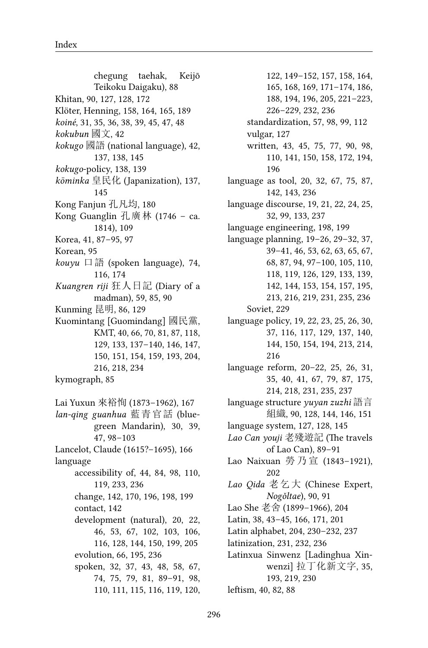chegung taehak, Keijō Teikoku Daigaku), 88 Khitan, 90, 127, 128, 172 Klöter, Henning, 158, 164, 165, 189 *koiné*, 31, 35, 36, 38, 39, 45, 47, 48 *kokubun* 國文, 42 *kokugo* 國語 (national language), 42, 137, 138, 145 *kokugo*-policy, 138, 139 *kōminka* 皇民化 (Japanization), 137, 145 Kong Fanjun 孔凡均, 180 Kong Guanglin 孔廣林 (1746 – ca. 1814), 109 Korea, 41, 87–95, 97 Korean, 95 *kouyu* 口語 (spoken language), 74, 116, 174 *Kuangren riji* 狂人日記 (Diary of a madman), 59, 85, 90 Kunming 昆明, 86, 129 Kuomintang [Guomindang] 國民黨, KMT, 40, 66, 70, 81, 87, 118, 129, 133, 137–140, 146, 147, 150, 151, 154, 159, 193, 204, 216, 218, 234 kymograph, 85 Lai Yuxun 來裕恂 (1873–1962), 167 *lan-qing guanhua* 藍青官話 (bluegreen Mandarin), 30, 39, 47, 98–103 Lancelot, Claude (1615?–1695), 166 language accessibility of, 44, 84, 98, 110, 119, 233, 236 change, 142, 170, 196, 198, 199 contact, 142 development (natural), 20, 22, 46, 53, 67, 102, 103, 106, 116, 128, 144, 150, 199, 205 evolution, 66, 195, 236 spoken, 32, 37, 43, 48, 58, 67, 74, 75, 79, 81, 89–91, 98, 110, 111, 115, 116, 119, 120,

122, 149–152, 157, 158, 164, 165, 168, 169, 171–174, 186, 188, 194, 196, 205, 221–223, 226–229, 232, 236 standardization, 57, 98, 99, 112 vulgar, 127 written, 43, 45, 75, 77, 90, 98, 110, 141, 150, 158, 172, 194, 196 language as tool, 20, 32, 67, 75, 87, 142, 143, 236 language discourse, 19, 21, 22, 24, 25, 32, 99, 133, 237 language engineering, 198, 199 language planning, 19–26, 29–32, 37, 39–41, 46, 53, 62, 63, 65, 67, 68, 87, 94, 97–100, 105, 110, 118, 119, 126, 129, 133, 139, 142, 144, 153, 154, 157, 195, 213, 216, 219, 231, 235, 236 Soviet, 229 language policy, 19, 22, 23, 25, 26, 30, 37, 116, 117, 129, 137, 140, 144, 150, 154, 194, 213, 214, 216 language reform, 20–22, 25, 26, 31, 35, 40, 41, 67, 79, 87, 175, 214, 218, 231, 235, 237 language structure *yuyan zuzhi* 語言 組織, 90, 128, 144, 146, 151 language system, 127, 128, 145 *Lao Can youji* 老殘遊記 (The travels of Lao Can), 89–91 Lao Naixuan 勞 乃 宣 (1843–1921), 202 *Lao Qida* 老乞大 (Chinese Expert, *Nogǒltae*), 90, 91 Lao She 老舍 (1899–1966), 204 Latin, 38, 43–45, 166, 171, 201 Latin alphabet, 204, 230–232, 237 latinization, 231, 232, 236 Latinxua Sinwenz [Ladinghua Xinwenzi] 拉丁化新文字, 35, 193, 219, 230 leftism, 40, 82, 88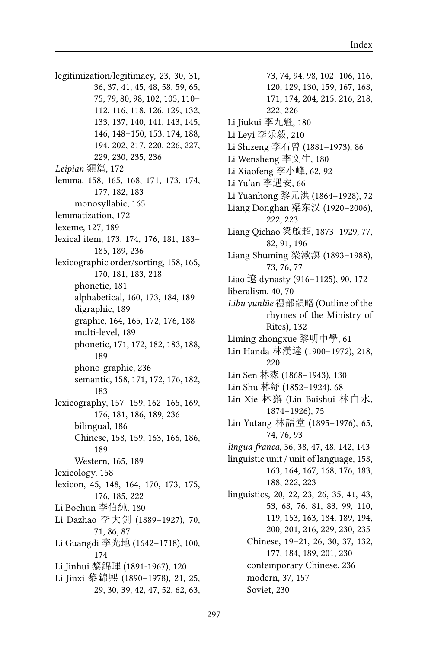legitimization/legitimacy, 23, 30, 31, 36, 37, 41, 45, 48, 58, 59, 65, 75, 79, 80, 98, 102, 105, 110– 112, 116, 118, 126, 129, 132, 133, 137, 140, 141, 143, 145, 146, 148–150, 153, 174, 188, 194, 202, 217, 220, 226, 227, 229, 230, 235, 236 *Leipian* 類篇, 172 lemma, 158, 165, 168, 171, 173, 174, 177, 182, 183 monosyllabic, 165 lemmatization, 172 lexeme, 127, 189 lexical item, 173, 174, 176, 181, 183– 185, 189, 236 lexicographic order/sorting, 158, 165, 170, 181, 183, 218 phonetic, 181 alphabetical, 160, 173, 184, 189 digraphic, 189 graphic, 164, 165, 172, 176, 188 multi-level, 189 phonetic, 171, 172, 182, 183, 188, 189 phono-graphic, 236 semantic, 158, 171, 172, 176, 182, 183 lexicography, 157–159, 162–165, 169, 176, 181, 186, 189, 236 bilingual, 186 Chinese, 158, 159, 163, 166, 186, 189 Western, 165, 189 lexicology, 158 lexicon, 45, 148, 164, 170, 173, 175, 176, 185, 222 Li Bochun 李伯純, 180 Li Dazhao 李大釗 (1889–1927), 70, 71, 86, 87 Li Guangdi 李光地 (1642–1718), 100, 174 Li Jinhui 黎錦暉 (1891-1967), 120 Li Jinxi 黎錦熙 (1890–1978), 21, 25, 29, 30, 39, 42, 47, 52, 62, 63,

73, 74, 94, 98, 102–106, 116, 120, 129, 130, 159, 167, 168, 171, 174, 204, 215, 216, 218, 222, 226 Li Jiukui 李九魁, 180 Li Leyi 李乐毅, 210 Li Shizeng 李石曾 (1881–1973), 86 Li Wensheng 李文生, 180 Li Xiaofeng 李小峰, 62, 92 Li Yu'an 李遇安, 66 Li Yuanhong 黎元洪 (1864–1928), 72 Liang Donghan 梁东汉 (1920–2006), 222, 223 Liang Qichao 梁啟超, 1873–1929, 77, 82, 91, 196 Liang Shuming 梁漱溟 (1893–1988), 73, 76, 77 Liao 遼 dynasty (916–1125), 90, 172 liberalism, 40, 70 *Libu yunlüe* 禮部韻略 (Outline of the rhymes of the Ministry of Rites), 132 Liming zhongxue 黎明中學, 61 Lin Handa 林漢達 (1900–1972), 218, 220 Lin Sen 林森 (1868–1943), 130 Lin Shu 林紓 (1852–1924), 68 Lin Xie 林獬 (Lin Baishui 林白水, 1874–1926), 75 Lin Yutang 林語堂 (1895–1976), 65, 74, 76, 93 *lingua franca*, 36, 38, 47, 48, 142, 143 linguistic unit / unit of language, 158, 163, 164, 167, 168, 176, 183, 188, 222, 223 linguistics, 20, 22, 23, 26, 35, 41, 43, 53, 68, 76, 81, 83, 99, 110, 119, 153, 163, 184, 189, 194, 200, 201, 216, 229, 230, 235 Chinese, 19–21, 26, 30, 37, 132, 177, 184, 189, 201, 230 contemporary Chinese, 236 modern, 37, 157 Soviet, 230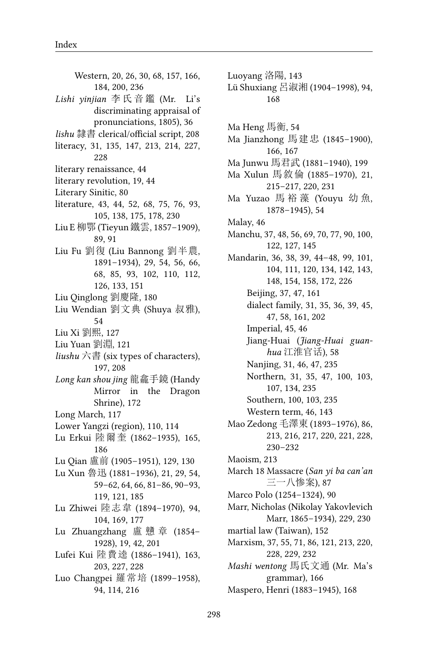Western, 20, 26, 30, 68, 157, 166, 184, 200, 236 *Lishi yinjian* 李 氏 音 鑑 (Mr. Li's discriminating appraisal of pronunciations, 1805), 36 *lishu* 隸書 clerical/official script, 208 literacy, 31, 135, 147, 213, 214, 227, 228 literary renaissance, 44 literary revolution, 19, 44 Literary Sinitic, 80 literature, 43, 44, 52, 68, 75, 76, 93, 105, 138, 175, 178, 230 Liu E 柳鄂 (Tieyun鐵雲, 1857–1909), 89, 91 Liu Fu 劉復 (Liu Bannong 劉半農, 1891–1934), 29, 54, 56, 66, 68, 85, 93, 102, 110, 112, 126, 133, 151 Liu Qinglong 劉慶隆, 180 Liu Wendian 劉文典 (Shuya 叔雅), 54 Liu Xi 劉熙, 127 Liu Yuan 劉淵, 121 *liushu* 六書 (six types of characters), 197, 208 *Long kan shou jing* 龍龕手鏡 (Handy Mirror in the Dragon Shrine), 172 Long March, 117 Lower Yangzi (region), 110, 114 Lu Erkui 陸爾奎 (1862–1935), 165, 186 Lu Qian 盧前 (1905–1951), 129, 130 Lu Xun 魯迅 (1881–1936), 21, 29, 54, 59–62, 64, 66, 81–86, 90–93, 119, 121, 185 Lu Zhiwei 陸志韋 (1894–1970), 94, 104, 169, 177 Lu Zhuangzhang 盧 戇 章 (1854– 1928), 19, 42, 201 Lufei Kui 陸費逵 (1886–1941), 163, 203, 227, 228 Luo Changpei 羅常培 (1899–1958), 94, 114, 216

Luoyang 洛陽, 143 Lü Shuxiang 呂淑湘 (1904–1998), 94, 168 Ma Heng 馬衡, 54 Ma Jianzhong 馬建忠 (1845–1900), 166, 167 Ma Junwu 馬君武 (1881–1940), 199 Ma Xulun 馬敘倫 (1885–1970), 21, 215–217, 220, 231 Ma Yuzao 馬 裕 藻 (Youyu 幼 魚, 1878–1945), 54 Malay, 46 Manchu, 37, 48, 56, 69, 70, 77, 90, 100, 122, 127, 145 Mandarin, 36, 38, 39, 44–48, 99, 101, 104, 111, 120, 134, 142, 143, 148, 154, 158, 172, 226 Beijing, 37, 47, 161 dialect family, 31, 35, 36, 39, 45, 47, 58, 161, 202 Imperial, 45, 46 Jiang-Huai (*Jiang-Huai guanhua* 江淮官话), 58 Nanjing, 31, 46, 47, 235 Northern, 31, 35, 47, 100, 103, 107, 134, 235 Southern, 100, 103, 235 Western term, 46, 143 Mao Zedong 毛澤東 (1893–1976), 86, 213, 216, 217, 220, 221, 228, 230–232 Maoism, 213 March 18 Massacre (*San yi ba can'an* 三一八惨案), 87 Marco Polo (1254–1324), 90 Marr, Nicholas (Nikolay Yakovlevich Marr, 1865–1934), 229, 230 martial law (Taiwan), 152 Marxism, 37, 55, 71, 86, 121, 213, 220, 228, 229, 232 *Mashi wentong* 馬氏文通 (Mr. Ma's grammar), 166 Maspero, Henri (1883–1945), 168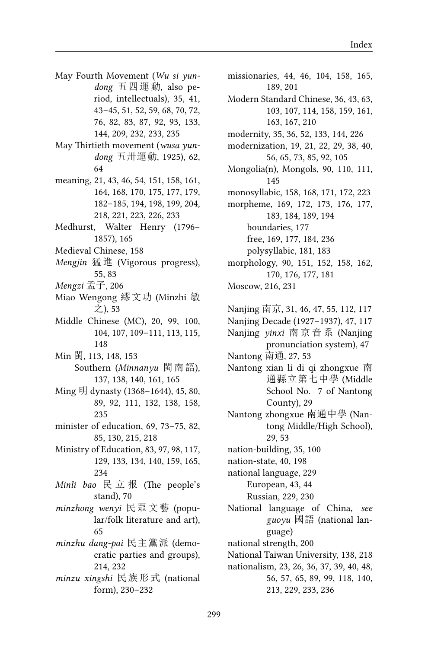- May Fourth Movement (*Wu si yundong* 五四運動, also period, intellectuals), 35, 41, 43–45, 51, 52, 59, 68, 70, 72, 76, 82, 83, 87, 92, 93, 133, 144, 209, 232, 233, 235
- May Thirtieth movement (*wusa yundong* 五卅運動, 1925), 62, 64
- meaning, 21, 43, 46, 54, 151, 158, 161, 164, 168, 170, 175, 177, 179, 182–185, 194, 198, 199, 204, 218, 221, 223, 226, 233
- Medhurst, Walter Henry (1796– 1857), 165
- Medieval Chinese, 158
- *Mengjin* 猛 進 (Vigorous progress), 55, 83
- *Mengzi* 孟子, 206
- Miao Wengong 繆文功 (Minzhi 敏 之), 53
- Middle Chinese (MC), 20, 99, 100, 104, 107, 109–111, 113, 115, 148
- Min 閩, 113, 148, 153 Southern (*Minnanyu* 閩南語), 137, 138, 140, 161, 165
- Ming 明 dynasty (1368–1644), 45, 80, 89, 92, 111, 132, 138, 158, 235
- minister of education, 69, 73–75, 82, 85, 130, 215, 218
- Ministry of Education, 83, 97, 98, 117, 129, 133, 134, 140, 159, 165, 234
- *Minli bao* 民 立 报 (The people's stand), 70
- *minzhong wenyi* 民眾文藝 (popular/folk literature and art), 65
- *minzhu dang-pai* 民主黨派 (democratic parties and groups), 214, 232
- *minzu xingshi* 民族形式 (national form), 230–232

missionaries, 44, 46, 104, 158, 165, 189, 201 Modern Standard Chinese, 36, 43, 63, 103, 107, 114, 158, 159, 161, 163, 167, 210 modernity, 35, 36, 52, 133, 144, 226 modernization, 19, 21, 22, 29, 38, 40, 56, 65, 73, 85, 92, 105 Mongolia(n), Mongols, 90, 110, 111, 145 monosyllabic, 158, 168, 171, 172, 223 morpheme, 169, 172, 173, 176, 177, 183, 184, 189, 194 boundaries, 177 free, 169, 177, 184, 236 polysyllabic, 181, 183 morphology, 90, 151, 152, 158, 162, 170, 176, 177, 181 Moscow, 216, 231 Nanjing 南京, 31, 46, 47, 55, 112, 117 Nanjing Decade (1927–1937), 47, 117 Nanjing *yinxi* 南 京 音 系 (Nanjing

- pronunciation system), 47 Nantong 南通, 27, 53
- Nantong xian li di qi zhongxue 南 通縣立第七中學 (Middle School No. 7 of Nantong County), 29
- Nantong zhongxue 南通中學 (Nantong Middle/High School), 29, 53
- nation-building, 35, 100
- nation-state, 40, 198
- national language, 229 European, 43, 44
	- Russian, 229, 230
- National language of China, *see guoyu* 國語 (national language)
- national strength, 200
- National Taiwan University, 138, 218
- nationalism, 23, 26, 36, 37, 39, 40, 48, 56, 57, 65, 89, 99, 118, 140, 213, 229, 233, 236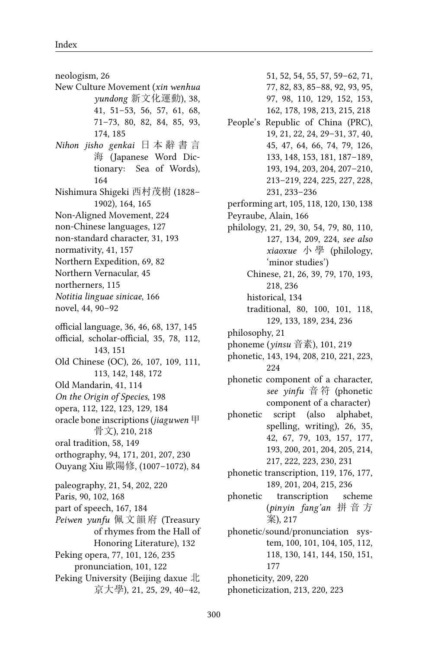neologism, 26 New Culture Movement (*xin wenhua yundong* 新文化運動), 38, 41, 51–53, 56, 57, 61, 68, 71–73, 80, 82, 84, 85, 93, 174, 185 *Nihon jisho genkai* 日 本 辭 書 言 海 (Japanese Word Dictionary: Sea of Words), 164 Nishimura Shigeki 西村茂樹 (1828– 1902), 164, 165 Non-Aligned Movement, 224 non-Chinese languages, 127 non-standard character, 31, 193 normativity, 41, 157 Northern Expedition, 69, 82 Northern Vernacular, 45 northerners, 115 *Notitia linguae sinicae*, 166 novel, 44, 90–92 official language, 36, 46, 68, 137, 145 official, scholar-official, 35, 78, 112, 143, 151 Old Chinese (OC), 26, 107, 109, 111, 113, 142, 148, 172 Old Mandarin, 41, 114 *On the Origin of Species*, 198 opera, 112, 122, 123, 129, 184 oracle bone inscriptions (*jiaguwen* 甲 骨文), 210, 218 oral tradition, 58, 149 orthography, 94, 171, 201, 207, 230 Ouyang Xiu 歐陽修, (1007–1072), 84 paleography, 21, 54, 202, 220 Paris, 90, 102, 168 part of speech, 167, 184 *Peiwen yunfu* 佩文韻府 (Treasury of rhymes from the Hall of Honoring Literature), 132 Peking opera, 77, 101, 126, 235 pronunciation, 101, 122 Peking University (Beijing daxue 北 京大學), 21, 25, 29, 40–42,

51, 52, 54, 55, 57, 59–62, 71, 77, 82, 83, 85–88, 92, 93, 95, 97, 98, 110, 129, 152, 153, 162, 178, 198, 213, 215, 218 People's Republic of China (PRC), 19, 21, 22, 24, 29–31, 37, 40, 45, 47, 64, 66, 74, 79, 126, 133, 148, 153, 181, 187–189, 193, 194, 203, 204, 207–210, 213–219, 224, 225, 227, 228, 231, 233–236 performing art, 105, 118, 120, 130, 138 Peyraube, Alain, 166 philology, 21, 29, 30, 54, 79, 80, 110, 127, 134, 209, 224, *see also xiaoxue* 小 學 (philology, 'minor studies') Chinese, 21, 26, 39, 79, 170, 193, 218, 236 historical, 134 traditional, 80, 100, 101, 118, 129, 133, 189, 234, 236 philosophy, 21 phoneme (*yinsu* 音素), 101, 219 phonetic, 143, 194, 208, 210, 221, 223, 224 phonetic component of a character, *see yinfu* 音 符 (phonetic component of a character) phonetic script (also alphabet, spelling, writing), 26, 35, 42, 67, 79, 103, 157, 177, 193, 200, 201, 204, 205, 214, 217, 222, 223, 230, 231 phonetic transcription, 119, 176, 177, 189, 201, 204, 215, 236 phonetic transcription scheme (*pinyin fang'an* 拼 音 方 案), 217 phonetic/sound/pronunciation system, 100, 101, 104, 105, 112, 118, 130, 141, 144, 150, 151, 177 phoneticity, 209, 220 phoneticization, 213, 220, 223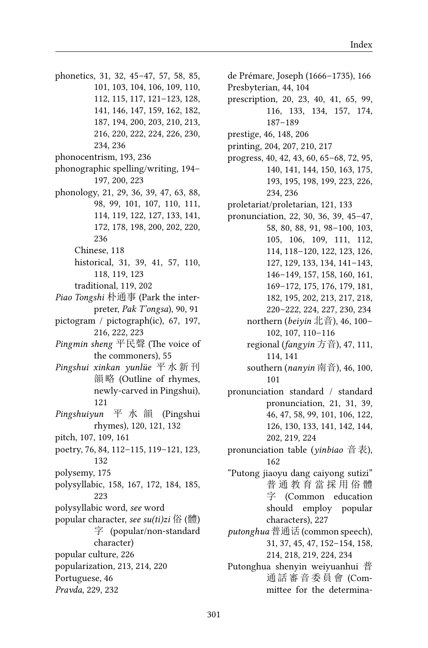- phonetics, 31, 32, 45–47, 57, 58, 85, 101, 103, 104, 106, 109, 110, 112, 115, 117, 121–123, 128, 141, 146, 147, 159, 162, 182, 187, 194, 200, 203, 210, 213, 216, 220, 222, 224, 226, 230, 234, 236 phonocentrism, 193, 236 phonographic spelling/writing, 194– 197, 200, 223 phonology, 21, 29, 36, 39, 47, 63, 88, 98, 99, 101, 107, 110, 111, 114, 119, 122, 127, 133, 141, 172, 178, 198, 200, 202, 220, 236 Chinese, 118 historical, 31, 39, 41, 57, 110, 118, 119, 123 traditional, 119, 202 *Piao Tongshi* 朴通事 (Park the interpreter, *Pak T'ongsa*), 90, 91 pictogram / pictograph(ic), 67, 197, 216, 222, 223 *Pingmin sheng* 平民聲 (The voice of the commoners), 55 *Pingshui xinkan yunlüe* 平 水 新 刊 韻略 (Outline of rhymes, newly-carved in Pingshui), 121 *Pingshuiyun* 平 水 韻 (Pingshui rhymes), 120, 121, 132 pitch, 107, 109, 161 poetry, 76, 84, 112–115, 119–121, 123, 132 polysemy, 175 polysyllabic, 158, 167, 172, 184, 185, 223 polysyllabic word, *see* word popular character, *see su(ti)zi* 俗 (體) 字 (popular/non-standard
	- character)
- popular culture, 226
- popularization, 213, 214, 220
- Portuguese, 46
- *Pravda*, 229, 232

de Prémare, Joseph (1666–1735), 166 Presbyterian, 44, 104 prescription, 20, 23, 40, 41, 65, 99, 116, 133, 134, 157, 174, 187–189 prestige, 46, 148, 206 printing, 204, 207, 210, 217 progress, 40, 42, 43, 60, 65–68, 72, 95, 140, 141, 144, 150, 163, 175, 193, 195, 198, 199, 223, 226, 234, 236 proletariat/proletarian, 121, 133 pronunciation, 22, 30, 36, 39, 45–47, 58, 80, 88, 91, 98–100, 103, 105, 106, 109, 111, 112, 114, 118–120, 122, 123, 126, 127, 129, 133, 134, 141–143, 146–149, 157, 158, 160, 161, 169–172, 175, 176, 179, 181, 182, 195, 202, 213, 217, 218, 220–222, 224, 227, 230, 234 northern (*beiyin* 北音), 46, 100– 102, 107, 110–116 regional (*fangyin* 方音), 47, 111, 114, 141 southern (*nanyin* 南音), 46, 100, 101 pronunciation standard / standard pronunciation, 21, 31, 39, 46, 47, 58, 99, 101, 106, 122, 126, 130, 133, 141, 142, 144, 202, 219, 224 pronunciation table (*yinbiao* 音表), 162 "Putong jiaoyu dang caiyong sutizi" 普 通 教 育 當 採 用 俗 體 字 (Common education should employ popular characters), 227 *putonghua* 普通话 (common speech), 31, 37, 45, 47, 152–154, 158, 214, 218, 219, 224, 234 Putonghua shenyin weiyuanhui 普

通話審音委員會 (Committee for the determina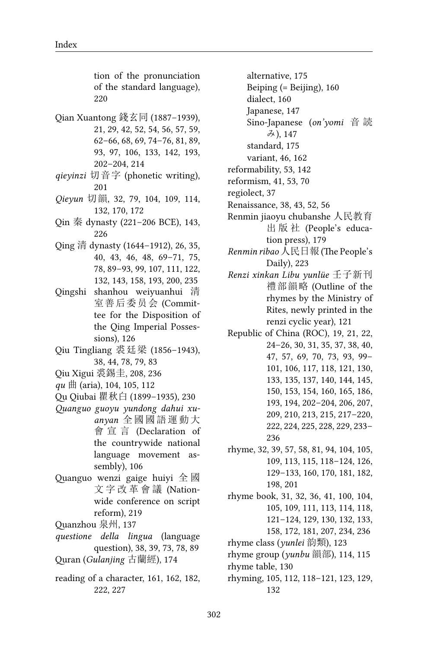tion of the pronunciation of the standard language), 220

- Qian Xuantong 錢玄同 (1887–1939), 21, 29, 42, 52, 54, 56, 57, 59, 62–66, 68, 69, 74–76, 81, 89, 93, 97, 106, 133, 142, 193, 202–204, 214
- *qieyinzi* 切音字 (phonetic writing), 201
- *Qieyun* 切韻, 32, 79, 104, 109, 114, 132, 170, 172
- Qin 秦 dynasty (221–206 BCE), 143, 226
- Qing 清 dynasty (1644–1912), 26, 35, 40, 43, 46, 48, 69–71, 75, 78, 89–93, 99, 107, 111, 122, 132, 143, 158, 193, 200, 235
- Qingshi shanhou weiyuanhui 清 室善后委员会 (Committee for the Disposition of the Qing Imperial Possessions), 126
- Qiu Tingliang 裘廷梁 (1856–1943), 38, 44, 78, 79, 83
- Qiu Xigui 裘錫圭, 208, 236
- *qu* 曲 (aria), 104, 105, 112
- Qu Qiubai 瞿秋白 (1899–1935), 230
- *Quanguo guoyu yundong dahui xuanyan* 全國國語運動大 會 宣 言 (Declaration of the countrywide national language movement assembly), 106
- Quanguo wenzi gaige huiyi 全 國 文 字 改 革 會 議 (Nationwide conference on script reform), 219
- Quanzhou 泉州, 137
- *questione della lingua* (language question), 38, 39, 73, 78, 89 Quran (*Gulanjing* 古蘭經), 174
- reading of a character, 161, 162, 182, 222, 227

alternative, 175 Beiping (= Beijing), 160

- dialect, 160
- Japanese, 147
- Sino-Japanese (*on'yomi* 音 読 み), 147
- standard, 175
- variant, 46, 162
- reformability, 53, 142
- reformism, 41, 53, 70
- regiolect, 37
- Renaissance, 38, 43, 52, 56
- Renmin jiaoyu chubanshe 人民教育 出 版 社 (People's education press), 179
- *Renmin ribao* 人民日報 (The People's Daily), 223
- *Renzi xinkan Libu yunlüe* 壬子新刊 禮部韻略 (Outline of the rhymes by the Ministry of Rites, newly printed in the renzi cyclic year), 121
- Republic of China (ROC), 19, 21, 22, 24–26, 30, 31, 35, 37, 38, 40, 47, 57, 69, 70, 73, 93, 99– 101, 106, 117, 118, 121, 130, 133, 135, 137, 140, 144, 145, 150, 153, 154, 160, 165, 186, 193, 194, 202–204, 206, 207, 209, 210, 213, 215, 217–220, 222, 224, 225, 228, 229, 233– 236
- rhyme, 32, 39, 57, 58, 81, 94, 104, 105, 109, 113, 115, 118–124, 126, 129–133, 160, 170, 181, 182, 198, 201

rhyme book, 31, 32, 36, 41, 100, 104, 105, 109, 111, 113, 114, 118, 121–124, 129, 130, 132, 133, 158, 172, 181, 207, 234, 236

rhyme class (*yunlei* 韵類), 123

rhyme group (*yunbu* 韻部), 114, 115

rhyme table, 130

rhyming, 105, 112, 118–121, 123, 129, 132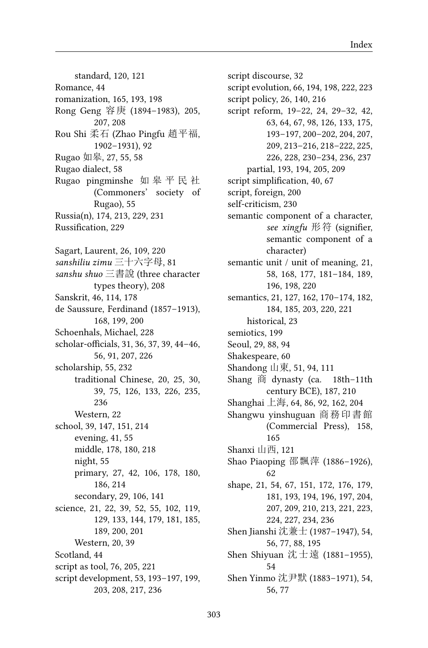standard, 120, 121 Romance, 44 romanization, 165, 193, 198 Rong Geng 容庚 (1894–1983), 205, 207, 208 Rou Shi 柔石 (Zhao Pingfu 趙平福, 1902–1931), 92 Rugao 如皋, 27, 55, 58 Rugao dialect, 58 Rugao pingminshe 如 皋 平 民 社 (Commoners' society of Rugao), 55 Russia(n), 174, 213, 229, 231 Russification, 229 Sagart, Laurent, 26, 109, 220 *sanshiliu zimu* 三十六字母, 81 *sanshu shuo* 三書說 (three character types theory), 208 Sanskrit, 46, 114, 178 de Saussure, Ferdinand (1857–1913), 168, 199, 200 Schoenhals, Michael, 228 scholar-officials, 31, 36, 37, 39, 44–46, 56, 91, 207, 226 scholarship, 55, 232 traditional Chinese, 20, 25, 30, 39, 75, 126, 133, 226, 235, 236 Western, 22 school, 39, 147, 151, 214 evening, 41, 55 middle, 178, 180, 218 night, 55 primary, 27, 42, 106, 178, 180, 186, 214 secondary, 29, 106, 141 science, 21, 22, 39, 52, 55, 102, 119, 129, 133, 144, 179, 181, 185, 189, 200, 201 Western, 20, 39 Scotland, 44 script as tool, 76, 205, 221 script development, 53, 193–197, 199, 203, 208, 217, 236

script discourse, 32 script evolution, 66, 194, 198, 222, 223 script policy, 26, 140, 216 script reform, 19–22, 24, 29–32, 42, 63, 64, 67, 98, 126, 133, 175, 193–197, 200–202, 204, 207, 209, 213–216, 218–222, 225, 226, 228, 230–234, 236, 237 partial, 193, 194, 205, 209 script simplification, 40, 67 script, foreign, 200 self-criticism, 230 semantic component of a character, *see xingfu* 形符 (signifier, semantic component of a character) semantic unit / unit of meaning, 21, 58, 168, 177, 181–184, 189, 196, 198, 220 semantics, 21, 127, 162, 170–174, 182, 184, 185, 203, 220, 221 historical, 23 semiotics, 199 Seoul, 29, 88, 94 Shakespeare, 60 Shandong 山東, 51, 94, 111 Shang 商 dynasty (ca. 18th–11th century BCE), 187, 210 Shanghai 上海, 64, 86, 92, 162, 204 Shangwu yinshuguan 商務印書館 (Commercial Press), 158, 165 Shanxi 山西, 121 Shao Piaoping 邵飄萍 (1886–1926), 62 shape, 21, 54, 67, 151, 172, 176, 179, 181, 193, 194, 196, 197, 204, 207, 209, 210, 213, 221, 223, 224, 227, 234, 236 Shen Jianshi 沈兼士 (1987–1947), 54, 56, 77, 88, 195 Shen Shiyuan 沈士遠 (1881–1955), 54 Shen Yinmo 沈尹默 (1883–1971), 54,

56, 77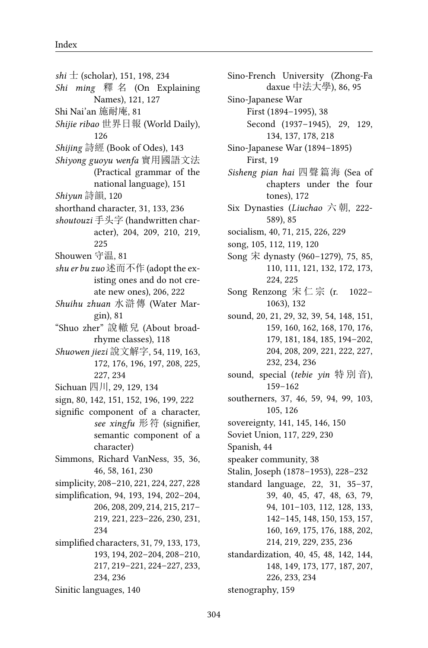*shi* 士 (scholar), 151, 198, 234 *Shi ming* 釋 名 (On Explaining Names), 121, 127 Shi Nai'an 施耐庵, 81 *Shijie ribao* 世界日報 (World Daily), 126 *Shijing* 詩經 (Book of Odes), 143 *Shiyong guoyu wenfa* 實用國語文法 (Practical grammar of the national language), 151 *Shiyun* 詩韻, 120 shorthand character, 31, 133, 236 *shoutouzi* 手头字 (handwritten character), 204, 209, 210, 219, 225 Shouwen 守温, 81 *shu er bu zuo* 述而不作 (adopt the existing ones and do not create new ones), 206, 222 *Shuihu zhuan* 水滸傳 (Water Margin), 81 "Shuo zher" 說轍兒 (About broadrhyme classes), 118 *Shuowen jiezi* 說文解字, 54, 119, 163, 172, 176, 196, 197, 208, 225, 227, 234 Sichuan 四川, 29, 129, 134 sign, 80, 142, 151, 152, 196, 199, 222 signific component of a character, *see xingfu* 形符 (signifier, semantic component of a character) Simmons, Richard VanNess, 35, 36, 46, 58, 161, 230 simplicity, 208–210, 221, 224, 227, 228 simplification, 94, 193, 194, 202–204, 206, 208, 209, 214, 215, 217– 219, 221, 223–226, 230, 231, 234 simplified characters, 31, 79, 133, 173, 193, 194, 202–204, 208–210, 217, 219–221, 224–227, 233, 234, 236 Sinitic languages, 140

Sino-French University (Zhong-Fa daxue 中法大學), 86, 95 Sino-Japanese War First (1894–1995), 38 Second (1937–1945), 29, 129, 134, 137, 178, 218 Sino-Japanese War (1894–1895) First, 19 *Sisheng pian hai* 四聲篇海 (Sea of chapters under the four tones), 172 Six Dynasties (*Liuchao* 六 朝, 222- 589), 85 socialism, 40, 71, 215, 226, 229 song, 105, 112, 119, 120 Song 宋 dynasty (960–1279), 75, 85, 110, 111, 121, 132, 172, 173, 224, 225 Song Renzong 宋仁宗 (r. 1022– 1063), 132 sound, 20, 21, 29, 32, 39, 54, 148, 151, 159, 160, 162, 168, 170, 176, 179, 181, 184, 185, 194–202, 204, 208, 209, 221, 222, 227, 232, 234, 236 sound, special (*tebie yin* 特 別 音), 159–162 southerners, 37, 46, 59, 94, 99, 103, 105, 126 sovereignty, 141, 145, 146, 150 Soviet Union, 117, 229, 230 Spanish, 44 speaker community, 38 Stalin, Joseph (1878–1953), 228–232 standard language, 22, 31, 35–37, 39, 40, 45, 47, 48, 63, 79, 94, 101–103, 112, 128, 133, 142–145, 148, 150, 153, 157, 160, 169, 175, 176, 188, 202, 214, 219, 229, 235, 236 standardization, 40, 45, 48, 142, 144, 148, 149, 173, 177, 187, 207, 226, 233, 234 stenography, 159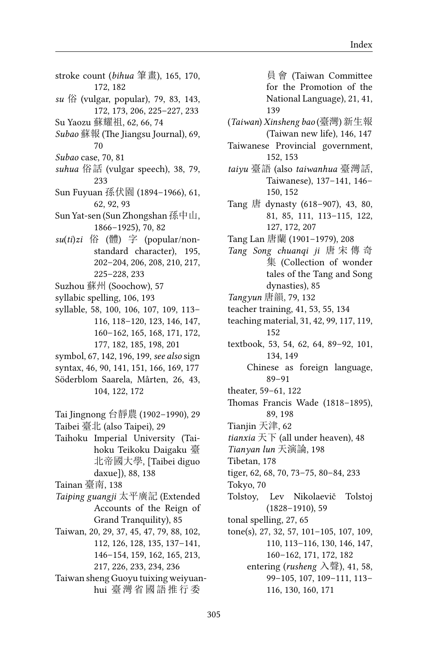- stroke count (*bihua* 筆畫), 165, 170, 172, 182
- *su* 俗 (vulgar, popular), 79, 83, 143, 172, 173, 206, 225–227, 233
- Su Yaozu 蘇耀祖, 62, 66, 74
- *Subao* 蘇報 (The Jiangsu Journal), 69, 70
- *Subao* case, 70, 81
- *suhua* 俗話 (vulgar speech), 38, 79, 233
- Sun Fuyuan 孫伏園 (1894–1966), 61, 62, 92, 93
- Sun Yat-sen (Sun Zhongshan 孫中山, 1866–1925), 70, 82
- *su*(*ti*)*zi* 俗 (體) 字 (popular/nonstandard character), 195, 202–204, 206, 208, 210, 217, 225–228, 233
- Suzhou 蘇州 (Soochow), 57
- syllabic spelling, 106, 193
- syllable, 58, 100, 106, 107, 109, 113– 116, 118–120, 123, 146, 147, 160–162, 165, 168, 171, 172, 177, 182, 185, 198, 201
- symbol, 67, 142, 196, 199, *see also* sign
- syntax, 46, 90, 141, 151, 166, 169, 177
- Söderblom Saarela, Mårten, 26, 43, 104, 122, 172
- Tai Jingnong 台靜農 (1902–1990), 29 Taibei 臺北 (also Taipei), 29
- Taihoku Imperial University (Taihoku Teikoku Daigaku 臺 北帝國大學, [Taibei diguo daxue]), 88, 138
- Tainan 臺南, 138
- *Taiping guangji* 太平廣記 (Extended Accounts of the Reign of Grand Tranquility), 85
- Taiwan, 20, 29, 37, 45, 47, 79, 88, 102, 112, 126, 128, 135, 137–141, 146–154, 159, 162, 165, 213, 217, 226, 233, 234, 236
- Taiwan sheng Guoyu tuixing weiyuanhui 臺灣省國語推行委
- 員會 (Taiwan Committee for the Promotion of the National Language), 21, 41, 139
- (*Taiwan*) *Xinsheng bao* (臺灣) 新生報 (Taiwan new life), 146, 147
- Taiwanese Provincial government, 152, 153
- *taiyu* 臺語 (also *taiwanhua* 臺灣話, Taiwanese), 137–141, 146– 150, 152
- Tang 唐 dynasty (618–907), 43, 80, 81, 85, 111, 113–115, 122, 127, 172, 207
- Tang Lan 唐蘭 (1901–1979), 208
- *Tang Song chuanqi ji* 唐 宋 傳 奇 集 (Collection of wonder tales of the Tang and Song dynasties), 85
- *Tangyun* 唐韻, 79, 132
- teacher training, 41, 53, 55, 134
- teaching material, 31, 42, 99, 117, 119, 152
- textbook, 53, 54, 62, 64, 89–92, 101, 134, 149
	- Chinese as foreign language, 89–91
- theater, 59–61, 122
- Thomas Francis Wade (1818–1895), 89, 198
- Tianjin 天津, 62
- *tianxia* 天下 (all under heaven), 48
- *Tianyan lun* 天演論, 198
- Tibetan, 178
- tiger, 62, 68, 70, 73–75, 80–84, 233
- Tokyo, 70
- Tolstoy, Lev Nikolaevič Tolstoj (1828–1910), 59
- tonal spelling, 27, 65
- tone(s), 27, 32, 57, 101–105, 107, 109, 110, 113–116, 130, 146, 147, 160–162, 171, 172, 182 entering (*rusheng* 入聲), 41, 58, 99–105, 107, 109–111, 113–

116, 130, 160, 171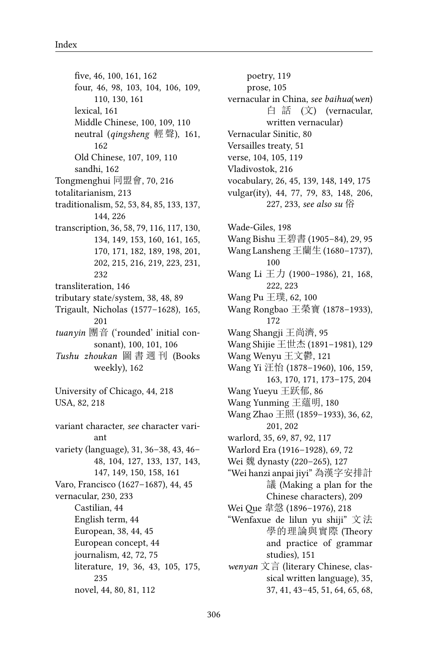five, 46, 100, 161, 162 four, 46, 98, 103, 104, 106, 109, 110, 130, 161 lexical, 161 Middle Chinese, 100, 109, 110 neutral (*qingsheng* 輕聲), 161, 162 Old Chinese, 107, 109, 110 sandhi, 162 Tongmenghui 同盟會, 70, 216 totalitarianism, 213 traditionalism, 52, 53, 84, 85, 133, 137, 144, 226 transcription, 36, 58, 79, 116, 117, 130, 134, 149, 153, 160, 161, 165, 170, 171, 182, 189, 198, 201, 202, 215, 216, 219, 223, 231, 232 transliteration, 146 tributary state/system, 38, 48, 89 Trigault, Nicholas (1577–1628), 165, 201 *tuanyin* 團音 ('rounded' initial consonant), 100, 101, 106 *Tushu zhoukan* 圖 書 週 刊 (Books weekly), 162 University of Chicago, 44, 218 USA, 82, 218 variant character, *see* character variant variety (language), 31, 36–38, 43, 46– 48, 104, 127, 133, 137, 143, 147, 149, 150, 158, 161 Varo, Francisco (1627–1687), 44, 45 vernacular, 230, 233 Castilian, 44 English term, 44 European, 38, 44, 45 European concept, 44 journalism, 42, 72, 75 literature, 19, 36, 43, 105, 175, 235 novel, 44, 80, 81, 112

poetry, 119 prose, 105 vernacular in China, *see baihua*(*wen*) 白 話 (文) (vernacular, written vernacular) Vernacular Sinitic, 80 Versailles treaty, 51 verse, 104, 105, 119 Vladivostok, 216 vocabulary, 26, 45, 139, 148, 149, 175 vulgar(ity), 44, 77, 79, 83, 148, 206, 227, 233, *see also su* 俗 Wade-Giles, 198 Wang Bishu 王碧書 (1905–84), 29, 95 Wang Lansheng 王蘭生 (1680–1737), 100 Wang Li 王力 (1900-1986), 21, 168, 222, 223 Wang Pu 王璞, 62, 100 Wang Rongbao 王榮寶 (1878–1933), 172 Wang Shangji 王尚濟, 95 Wang Shijie 王世杰 (1891–1981), 129 Wang Wenyu 王文鬱, 121 Wang Yi 汪怡 (1878–1960), 106, 159, 163, 170, 171, 173–175, 204 Wang Yueyu 王跃郁, 86 Wang Yunming 王蘊明, 180 Wang Zhao 王照 (1859–1933), 36, 62, 201, 202 warlord, 35, 69, 87, 92, 117 Warlord Era (1916–1928), 69, 72 Wei 魏 dynasty (220–265), 127 "Wei hanzi anpai jiyi" 為漢字安排計 議 (Making a plan for the Chinese characters), 209 Wei Que 韋愨 (1896–1976), 218 "Wenfaxue de lilun yu shiji" 文法 學的理論與實際 (Theory and practice of grammar studies), 151 *wenyan* 文言 (literary Chinese, classical written language), 35, 37, 41, 43–45, 51, 64, 65, 68,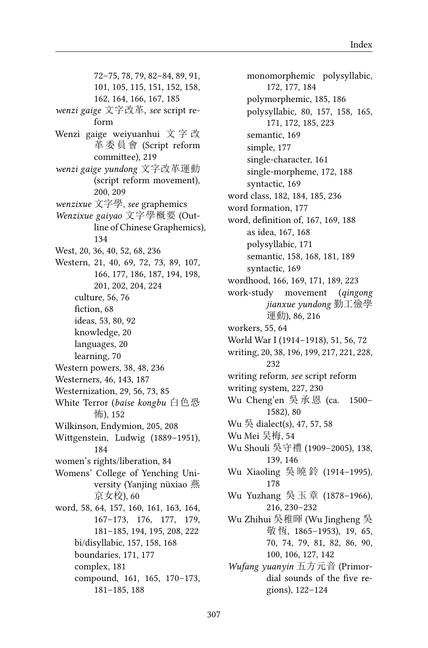72–75, 78, 79, 82–84, 89, 91, 101, 105, 115, 151, 152, 158, 162, 164, 166, 167, 185 *wenzi gaige* 文字改革, *see* script reform Wenzi gaige weiyuanhui 文 字 改 革 委 員 會 (Script reform committee), 219 *wenzi gaige yundong* 文字改革運動 (script reform movement), 200, 209 *wenzixue* 文字學, *see* graphemics *Wenzixue gaiyao* 文字學概要 (Outline of Chinese Graphemics), 134 West, 20, 36, 40, 52, 68, 236 Western, 21, 40, 69, 72, 73, 89, 107, 166, 177, 186, 187, 194, 198, 201, 202, 204, 224 culture, 56, 76 fiction, 68 ideas, 53, 80, 92 knowledge, 20 languages, 20 learning, 70 Western powers, 38, 48, 236 Westerners, 46, 143, 187 Westernization, 29, 56, 73, 85 White Terror (*baise kongbu* 白色恐 怖), 152 Wilkinson, Endymion, 205, 208 Wittgenstein, Ludwig (1889–1951), 184 women's rights/liberation, 84 Womens' College of Yenching University (Yanjing nüxiao 燕 京女校), 60 word, 58, 64, 157, 160, 161, 163, 164, 167–173, 176, 177, 179, 181–185, 194, 195, 208, 222 bi/disyllabic, 157, 158, 168 boundaries, 171, 177 complex, 181 compound, 161, 165, 170–173, 181–185, 188

monomorphemic polysyllabic, 172, 177, 184 polymorphemic, 185, 186 polysyllabic, 80, 157, 158, 165, 171, 172, 185, 223 semantic, 169 simple, 177 single-character, 161 single-morpheme, 172, 188 syntactic, 169 word class, 182, 184, 185, 236 word formation, 177 word, definition of, 167, 169, 188 as idea, 167, 168 polysyllabic, 171 semantic, 158, 168, 181, 189 syntactic, 169 wordhood, 166, 169, 171, 189, 223 work-study movement (*qingong jianxue yundong* 勤工儉學 運動), 86, 216 workers, 55, 64 World War I (1914–1918), 51, 56, 72 writing, 20, 38, 196, 199, 217, 221, 228, 232 writing reform, *see* script reform writing system, 227, 230 Wu Cheng'en 吳 承 恩 (ca. 1500– 1582), 80 Wu 吳 dialect(s), 47, 57, 58 Wu Mei 吴梅, 54 Wu Shouli 吳守禮 (1909–2005), 138, 139, 146 Wu Xiaoling 吳 曉 鈴 (1914–1995), 178 Wu Yuzhang 吳 玉 章 (1878–1966), 216, 230–232 Wu Zhihui 吳稚暉 (Wu Jingheng 吳 敬恆, 1865-1953), 19, 65, 70, 74, 79, 81, 82, 86, 90, 100, 106, 127, 142 *Wufang yuanyin* 五方元音 (Primordial sounds of the five regions), 122–124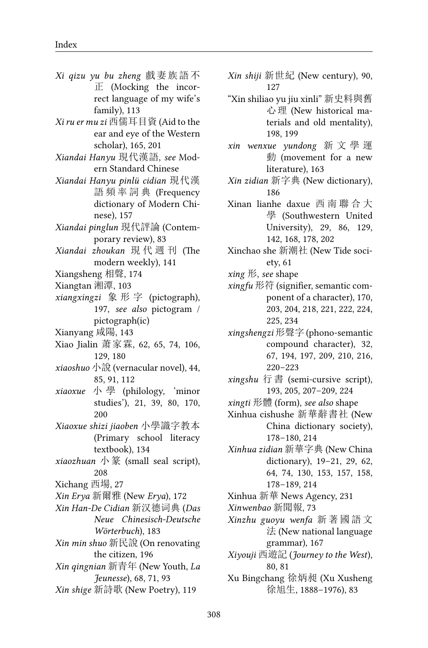- *Xi qizu yu bu zheng* 戲妻族語不 正 (Mocking the incorrect language of my wife's family), 113
- *Xi ru er mu zi* 西儒耳目資 (Aid to the ear and eye of the Western scholar), 165, 201
- *Xiandai Hanyu* 現代漢語, *see* Modern Standard Chinese
- *Xiandai Hanyu pinlü cidian* 現代漢 語 頻 率 詞 典 (Frequency dictionary of Modern Chinese), 157
- *Xiandai pinglun* 現代評論 (Contemporary review), 83
- *Xiandai zhoukan* 現 代 週 刊 (The modern weekly), 141
- Xiangsheng 相聲, 174
- Xiangtan 湘潭, 103
- *xiangxingzi* 象 形 字 (pictograph), 197, *see also* pictogram / pictograph(ic)
- Xianyang 咸陽, 143
- Xiao Jialin 萧家霖, 62, 65, 74, 106, 129, 180
- *xiaoshuo* 小說 (vernacular novel), 44, 85, 91, 112
- *xiaoxue* 小 學 (philology, 'minor studies'), 21, 39, 80, 170, 200
- *Xiaoxue shizi jiaoben* 小學識字教本 (Primary school literacy textbook), 134
- *xiaozhuan* 小篆 (small seal script), 208
- Xichang 西場, 27
- *Xin Erya* 新爾雅 (New *Erya*), 172
- *Xin Han-De Cidian* 新汉德词典 (*Das Neue Chinesisch-Deutsche Wörterbuch*), 183
- *Xin min shuo* 新民說 (On renovating the citizen, 196
- *Xin qingnian* 新青年 (New Youth, *La Jeunesse*), 68, 71, 93
- *Xin shige* 新詩歌 (New Poetry), 119
- *Xin shiji* 新世紀 (New century), 90, 127
- "Xin shiliao yu jiu xinli" 新史料與舊 心理 (New historical materials and old mentality), 198, 199
- *xin wenxue yundong* 新 文 學 運 動 (movement for a new literature), 163
- *Xin zidian* 新字典 (New dictionary), 186
- Xinan lianhe daxue 西 南 聯 合 大 學 (Southwestern United University), 29, 86, 129, 142, 168, 178, 202
- Xinchao she 新潮社 (New Tide society, 61
- *xing* 形, *see* shape
- *xingfu* 形符 (signifier, semantic component of a character), 170, 203, 204, 218, 221, 222, 224, 225, 234
- *xingshengzi* 形聲字 (phono-semantic compound character), 32, 67, 194, 197, 209, 210, 216, 220–223
- *xingshu* 行書 (semi-cursive script), 193, 205, 207–209, 224
- *xingti* 形體 (form), *see also* shape
- Xinhua cishushe 新華辭書社 (New China dictionary society), 178–180, 214
- *Xinhua zidian* 新華字典 (New China dictionary), 19–21, 29, 62, 64, 74, 130, 153, 157, 158, 178–189, 214
- Xinhua 新華 News Agency, 231
- *Xinwenbao* 新聞報, 73
- *Xinzhu guoyu wenfa* 新 著 國 語 文 法 (New national language grammar), 167
- *Xiyouji* 西遊記 (*Journey to the West*), 80, 81
- Xu Bingchang 徐炳昶 (Xu Xusheng 徐旭生, 1888–1976), 83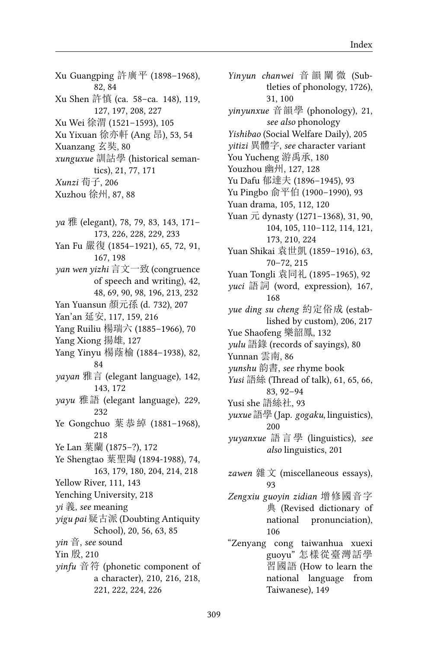Xu Guangping 許廣平 (1898–1968), 82, 84 Xu Shen 許慎 (ca. 58–ca. 148), 119, 127, 197, 208, 227 Xu Wei 徐渭 (1521–1593), 105 Xu Yixuan 徐亦軒 (Ang 昂), 53, 54 Xuanzang 玄奘, 80 *xunguxue* 訓詁學 (historical semantics), 21, 77, 171 *Xunzi* 荀子, 206 Xuzhou 徐州, 87, 88 *ya* 雅 (elegant), 78, 79, 83, 143, 171– 173, 226, 228, 229, 233 Yan Fu 嚴復 (1854–1921), 65, 72, 91, 167, 198 *yan wen yizhi* 言文一致 (congruence of speech and writing), 42, 48, 69, 90, 98, 196, 213, 232 Yan Yuansun 顏元孫 (d. 732), 207 Yan'an 延安, 117, 159, 216 Yang Ruiliu 楊瑞六 (1885–1966), 70 Yang Xiong 揚雄, 127 Yang Yinyu 楊蔭榆 (1884–1938), 82, 84 *yayan* 雅言 (elegant language), 142, 143, 172 *yayu* 雅語 (elegant language), 229, 232 Ye Gongchuo 葉恭綽 (1881–1968), 218 Ye Lan 葉蘭 (1875–?), 172 Ye Shengtao 葉聖陶 (1894-1988), 74, 163, 179, 180, 204, 214, 218 Yellow River, 111, 143 Yenching University, 218 *yi* 義, *see* meaning *yigu pai* 疑古派 (Doubting Antiquity School), 20, 56, 63, 85 *yin* 音, *see* sound Yin 殷, 210 *yinfu* 音符 (phonetic component of a character), 210, 216, 218, 221, 222, 224, 226

*Yinyun chanwei* 音 韻 闡 微 (Subtleties of phonology, 1726), 31, 100 *yinyunxue* 音韻學 (phonology), 21, *see also* phonology *Yishibao* (Social Welfare Daily), 205 *yitizi* 異體字, *see* character variant You Yucheng 游禹承, 180 Youzhou 幽州, 127, 128 Yu Dafu 郁達夫 (1896–1945), 93 Yu Pingbo 俞平伯 (1900–1990), 93 Yuan drama, 105, 112, 120 Yuan 元 dynasty (1271–1368), 31, 90, 104, 105, 110–112, 114, 121, 173, 210, 224 Yuan Shikai 袁世凱 (1859–1916), 63, 70–72, 215 Yuan Tongli 袁同礼 (1895–1965), 92 *yuci* 語詞 (word, expression), 167, 168 *yue ding su cheng* 約定俗成 (established by custom), 206, 217 Yue Shaofeng 樂韶鳳, 132 *yulu* 語錄 (records of sayings), 80 Yunnan 雲南, 86 *yunshu* 韵書, *see* rhyme book *Yusi* 語絲 (Thread of talk), 61, 65, 66, 83, 92–94 Yusi she 語絲社, 93 *yuxue* 語學 (Jap. *gogaku*, linguistics), 200 *yuyanxue* 語 言 學 (linguistics), *see also* linguistics, 201 *zawen* 雜文 (miscellaneous essays), 93 *Zengxiu guoyin zidian* 增修國音字 典 (Revised dictionary of national pronunciation), 106 "Zenyang cong taiwanhua xuexi guoyu" 怎樣從臺灣話學 習國語 (How to learn the national language from Taiwanese), 149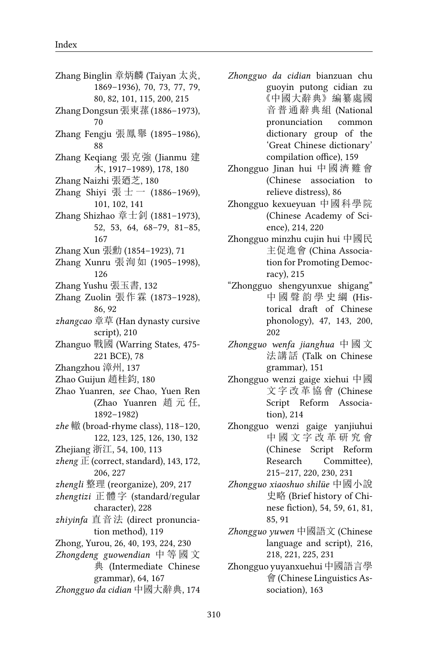Zhang Binglin 章炳麟 (Taiyan 太炎, 1869–1936), 70, 73, 77, 79, 80, 82, 101, 115, 200, 215 Zhang Dongsun 張東蓀 (1886–1973), 70 Zhang Fengju 張鳳舉 (1895–1986), 88 Zhang Keqiang 張克強 (Jianmu 建 木, 1917–1989), 178, 180 Zhang Naizhi 張廼芝, 180 Zhang Shiyi 張士 — (1886-1969), 101, 102, 141 Zhang Shizhao 章士釗 (1881–1973), 52, 53, 64, 68–79, 81–85, 167 Zhang Xun 張勳 (1854–1923), 71 Zhang Xunru 張洵如 (1905–1998), 126 Zhang Yushu 張玉書, 132 Zhang Zuolin 張作霖 (1873–1928), 86, 92 *zhangcao* 章草 (Han dynasty cursive script), 210 Zhanguo 戰國 (Warring States, 475- 221 BCE), 78 Zhangzhou 漳州, 137 Zhao Guijun 趙桂鈞, 180 Zhao Yuanren, *see* Chao, Yuen Ren (Zhao Yuanren 趙 元 任, 1892–1982) *zhe* 轍 (broad-rhyme class), 118–120, 122, 123, 125, 126, 130, 132 Zhejiang 浙江, 54, 100, 113 *zheng* 正 (correct, standard), 143, 172, 206, 227 *zhengli* 整理 (reorganize), 209, 217 *zhengtizi* 正體字 (standard/regular character), 228 *zhiyinfa* 直音法 (direct pronunciation method), 119 Zhong, Yurou, 26, 40, 193, 224, 230 *Zhongdeng guowendian* 中 等 國 文 典 (Intermediate Chinese grammar), 64, 167 *Zhongguo da cidian* 中國大辭典, 174 *Zhongguo da cidian* bianzuan chu guoyin putong cidian zu 《中國大辭典》編纂處國 音普通辭典組 (National pronunciation common dictionary group of the 'Great Chinese dictionary' compilation office), 159

- Zhongguo Jinan hui 中 國 濟 難 會 (Chinese association to relieve distress), 86
- Zhongguo kexueyuan 中國科學院 (Chinese Academy of Science), 214, 220
- Zhongguo minzhu cujin hui 中國民 主促進會 (China Association for Promoting Democracy), 215
- "Zhongguo shengyunxue shigang" 中 國 聲 韵 學 史 綱 (Historical draft of Chinese phonology), 47, 143, 200, 202
- *Zhongguo wenfa jianghua* 中 國 文 法講話 (Talk on Chinese grammar), 151
- Zhongguo wenzi gaige xiehui 中國 文 字 改 革 協 會 (Chinese Script Reform Association), 214
- Zhongguo wenzi gaige yanjiuhui 中 國 文 字 改 革 研 究 會 (Chinese Script Reform Research Committee), 215–217, 220, 230, 231
- *Zhongguo xiaoshuo shilüe* 中國小說 史略 (Brief history of Chinese fiction), 54, 59, 61, 81, 85, 91
- *Zhongguo yuwen* 中國語文 (Chinese language and script), 216, 218, 221, 225, 231
- Zhongguo yuyanxuehui 中國語言學 會 (Chinese Linguistics Association), 163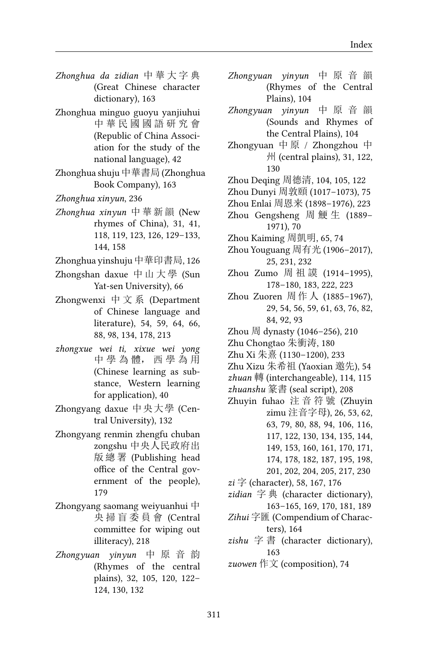- *Zhonghua da zidian* 中 華 大 字 典 (Great Chinese character dictionary), 163
- Zhonghua minguo guoyu yanjiuhui 中 華 民 國 國 語 研 究 會 (Republic of China Association for the study of the national language), 42
- Zhonghua shuju 中華書局 (Zhonghua Book Company), 163
- *Zhonghua xinyun*, 236
- *Zhonghua xinyun* 中華新韻 (New rhymes of China), 31, 41, 118, 119, 123, 126, 129–133, 144, 158
- Zhonghua yinshuju 中華印書局, 126
- Zhongshan daxue 中 山 大 學 (Sun Yat-sen University), 66
- Zhongwenxi 中文系 (Department of Chinese language and literature), 54, 59, 64, 66, 88, 98, 134, 178, 213
- *zhongxue wei ti, xixue wei yong* 中 學 為 體, 西 學 為 用 (Chinese learning as substance, Western learning for application), 40
- Zhongyang daxue 中央大學 (Central University), 132
- Zhongyang renmin zhengfu chuban zongshu 中央人民政府出 版 總 署 (Publishing head office of the Central government of the people), 179
- Zhongyang saomang weiyuanhui 中 央 掃 盲 委 員 會 (Central committee for wiping out illiteracy), 218
- *Zhongyuan yinyun* 中 原 音 韵 (Rhymes of the central plains), 32, 105, 120, 122– 124, 130, 132
- *Zhongyuan yinyun* 中 原 音 韻 (Rhymes of the Central Plains), 104
- *Zhongyuan yinyun* 中 原 音 韻 (Sounds and Rhymes of the Central Plains), 104
- Zhongyuan 中 原 / Zhongzhou 中 州 (central plains), 31, 122, 130
- Zhou Deqing 周德清, 104, 105, 122
- Zhou Dunyi 周敦頤 (1017–1073), 75
- Zhou Enlai 周恩来 (1898–1976), 223
- Zhou Gengsheng 周 鯁 生 (1889– 1971), 70
- Zhou Kaiming 周凱明, 65, 74
- Zhou Youguang 周有光 (1906–2017), 25, 231, 232
- Zhou Zumo 周 祖 謨 (1914–1995), 178–180, 183, 222, 223
- Zhou Zuoren 周作人 (1885–1967), 29, 54, 56, 59, 61, 63, 76, 82, 84, 92, 93
- Zhou 周 dynasty (1046–256), 210
- Zhu Chongtao 朱衝涛, 180
- Zhu Xi 朱熹 (1130–1200), 233
- Zhu Xizu 朱希祖 (Yaoxian 邀先), 54
- *zhuan* 轉 (interchangeable), 114, 115
- *zhuanshu* 篆書 (seal script), 208
- Zhuyin fuhao 注 音 符 號 (Zhuyin zimu 注音字母), 26, 53, 62, 63, 79, 80, 88, 94, 106, 116, 117, 122, 130, 134, 135, 144, 149, 153, 160, 161, 170, 171, 174, 178, 182, 187, 195, 198,
	- 201, 202, 204, 205, 217, 230
- *zi* 字 (character), 58, 167, 176
- *zidian* 字 典 (character dictionary), 163–165, 169, 170, 181, 189
- *Zihui* 字匯 (Compendium of Characters), 164
- *zishu* 字 書 (character dictionary), 163
- *zuowen* 作文 (composition), 74